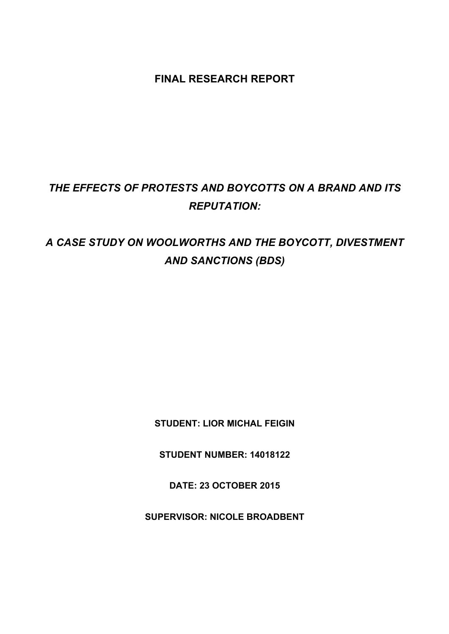**FINAL RESEARCH REPORT**

# *THE EFFECTS OF PROTESTS AND BOYCOTTS ON A BRAND AND ITS REPUTATION:*

# *A CASE STUDY ON WOOLWORTHS AND THE BOYCOTT, DIVESTMENT AND SANCTIONS (BDS)*

**STUDENT: LIOR MICHAL FEIGIN**

**STUDENT NUMBER: 14018122**

**DATE: 23 OCTOBER 2015**

**SUPERVISOR: NICOLE BROADBENT**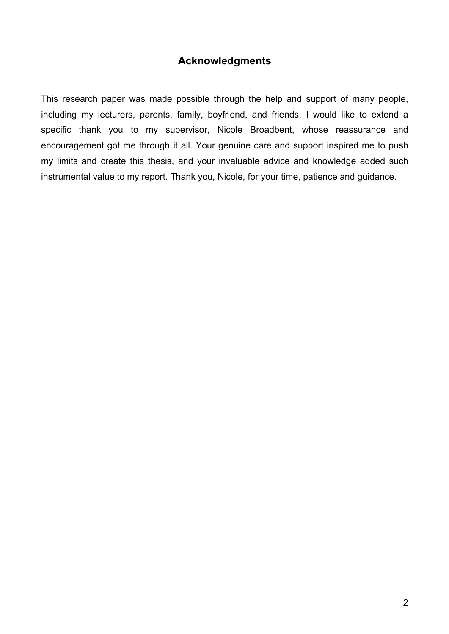## **Acknowledgments**

This research paper was made possible through the help and support of many people, including my lecturers, parents, family, boyfriend, and friends. I would like to extend a specific thank you to my supervisor, Nicole Broadbent, whose reassurance and encouragement got me through it all. Your genuine care and support inspired me to push my limits and create this thesis, and your invaluable advice and knowledge added such instrumental value to my report. Thank you, Nicole, for your time, patience and guidance.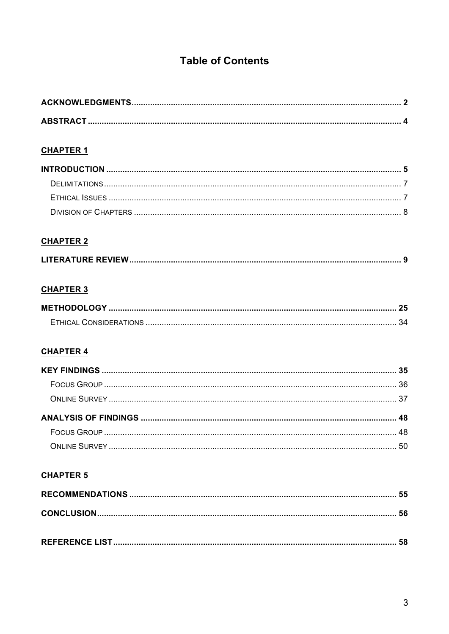## **Table of Contents**

## **CHAPTER 1**

## **CHAPTER 2**

## **CHAPTER 3**

| <b>METHODOLOGY</b>     |  |
|------------------------|--|
| ETHICAL CONSIDERATIONS |  |

### **CHAPTER 4**

## **CHAPTER 5**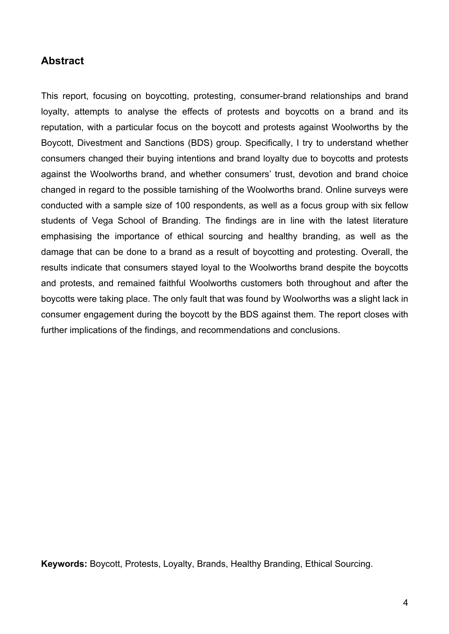### **Abstract**

This report, focusing on boycotting, protesting, consumer-brand relationships and brand loyalty, attempts to analyse the effects of protests and boycotts on a brand and its reputation, with a particular focus on the boycott and protests against Woolworths by the Boycott, Divestment and Sanctions (BDS) group. Specifically, I try to understand whether consumers changed their buying intentions and brand loyalty due to boycotts and protests against the Woolworths brand, and whether consumers' trust, devotion and brand choice changed in regard to the possible tarnishing of the Woolworths brand. Online surveys were conducted with a sample size of 100 respondents, as well as a focus group with six fellow students of Vega School of Branding. The findings are in line with the latest literature emphasising the importance of ethical sourcing and healthy branding, as well as the damage that can be done to a brand as a result of boycotting and protesting. Overall, the results indicate that consumers stayed loyal to the Woolworths brand despite the boycotts and protests, and remained faithful Woolworths customers both throughout and after the boycotts were taking place. The only fault that was found by Woolworths was a slight lack in consumer engagement during the boycott by the BDS against them. The report closes with further implications of the findings, and recommendations and conclusions.

**Keywords:** Boycott, Protests, Loyalty, Brands, Healthy Branding, Ethical Sourcing.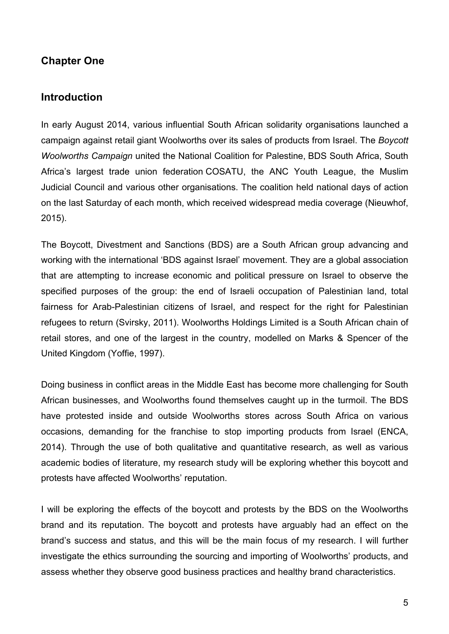## **Chapter One**

#### **Introduction**

In early August 2014, various influential South African solidarity organisations launched a campaign against retail giant Woolworths over its sales of products from Israel. The *Boycott Woolworths Campaign* united the National Coalition for Palestine, BDS South Africa, South Africa's largest trade union federation COSATU, the ANC Youth League, the Muslim Judicial Council and various other organisations. The coalition held national days of action on the last Saturday of each month, which received widespread media coverage (Nieuwhof, 2015).

The Boycott, Divestment and Sanctions (BDS) are a South African group advancing and working with the international 'BDS against Israel' movement. They are a global association that are attempting to increase economic and political pressure on Israel to observe the specified purposes of the group: the end of Israeli occupation of Palestinian land, total fairness for Arab-Palestinian citizens of Israel, and respect for the right for Palestinian refugees to return (Svirsky, 2011). Woolworths Holdings Limited is a South African chain of retail stores, and one of the largest in the country, modelled on Marks & Spencer of the United Kingdom (Yoffie, 1997).

Doing business in conflict areas in the Middle East has become more challenging for South African businesses, and Woolworths found themselves caught up in the turmoil. The BDS have protested inside and outside Woolworths stores across South Africa on various occasions, demanding for the franchise to stop importing products from Israel (ENCA, 2014). Through the use of both qualitative and quantitative research, as well as various academic bodies of literature, my research study will be exploring whether this boycott and protests have affected Woolworths' reputation.

I will be exploring the effects of the boycott and protests by the BDS on the Woolworths brand and its reputation. The boycott and protests have arguably had an effect on the brand's success and status, and this will be the main focus of my research. I will further investigate the ethics surrounding the sourcing and importing of Woolworths' products, and assess whether they observe good business practices and healthy brand characteristics.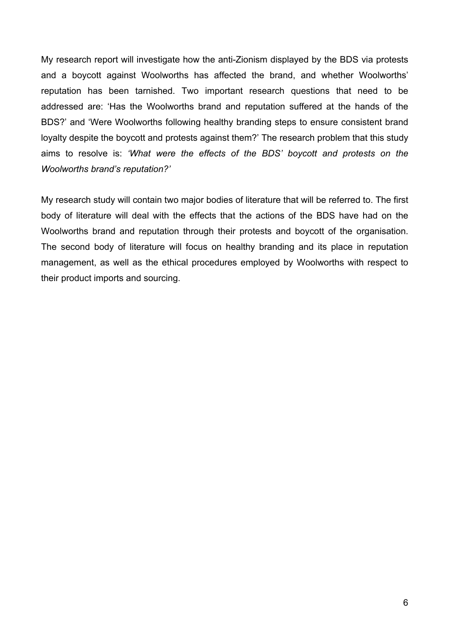My research report will investigate how the anti-Zionism displayed by the BDS via protests and a boycott against Woolworths has affected the brand, and whether Woolworths' reputation has been tarnished. Two important research questions that need to be addressed are: 'Has the Woolworths brand and reputation suffered at the hands of the BDS?' and 'Were Woolworths following healthy branding steps to ensure consistent brand loyalty despite the boycott and protests against them?' The research problem that this study aims to resolve is: *'What were the effects of the BDS' boycott and protests on the Woolworths brand's reputation?'*

My research study will contain two major bodies of literature that will be referred to. The first body of literature will deal with the effects that the actions of the BDS have had on the Woolworths brand and reputation through their protests and boycott of the organisation. The second body of literature will focus on healthy branding and its place in reputation management, as well as the ethical procedures employed by Woolworths with respect to their product imports and sourcing.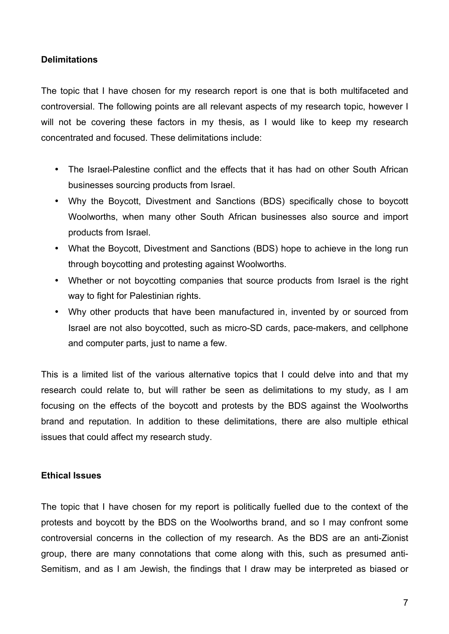#### **Delimitations**

The topic that I have chosen for my research report is one that is both multifaceted and controversial. The following points are all relevant aspects of my research topic, however I will not be covering these factors in my thesis, as I would like to keep my research concentrated and focused. These delimitations include:

- The Israel-Palestine conflict and the effects that it has had on other South African businesses sourcing products from Israel.
- Why the Boycott, Divestment and Sanctions (BDS) specifically chose to boycott Woolworths, when many other South African businesses also source and import products from Israel.
- What the Boycott, Divestment and Sanctions (BDS) hope to achieve in the long run through boycotting and protesting against Woolworths.
- Whether or not boycotting companies that source products from Israel is the right way to fight for Palestinian rights.
- Why other products that have been manufactured in, invented by or sourced from Israel are not also boycotted, such as micro-SD cards, pace-makers, and cellphone and computer parts, just to name a few.

This is a limited list of the various alternative topics that I could delve into and that my research could relate to, but will rather be seen as delimitations to my study, as I am focusing on the effects of the boycott and protests by the BDS against the Woolworths brand and reputation. In addition to these delimitations, there are also multiple ethical issues that could affect my research study.

#### **Ethical Issues**

The topic that I have chosen for my report is politically fuelled due to the context of the protests and boycott by the BDS on the Woolworths brand, and so I may confront some controversial concerns in the collection of my research. As the BDS are an anti-Zionist group, there are many connotations that come along with this, such as presumed anti-Semitism, and as I am Jewish, the findings that I draw may be interpreted as biased or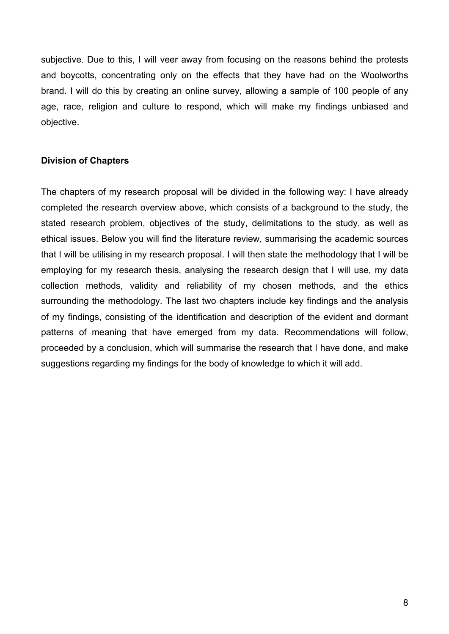subjective. Due to this, I will veer away from focusing on the reasons behind the protests and boycotts, concentrating only on the effects that they have had on the Woolworths brand. I will do this by creating an online survey, allowing a sample of 100 people of any age, race, religion and culture to respond, which will make my findings unbiased and objective.

#### **Division of Chapters**

The chapters of my research proposal will be divided in the following way: I have already completed the research overview above, which consists of a background to the study, the stated research problem, objectives of the study, delimitations to the study, as well as ethical issues. Below you will find the literature review, summarising the academic sources that I will be utilising in my research proposal. I will then state the methodology that I will be employing for my research thesis, analysing the research design that I will use, my data collection methods, validity and reliability of my chosen methods, and the ethics surrounding the methodology. The last two chapters include key findings and the analysis of my findings, consisting of the identification and description of the evident and dormant patterns of meaning that have emerged from my data. Recommendations will follow, proceeded by a conclusion, which will summarise the research that I have done, and make suggestions regarding my findings for the body of knowledge to which it will add.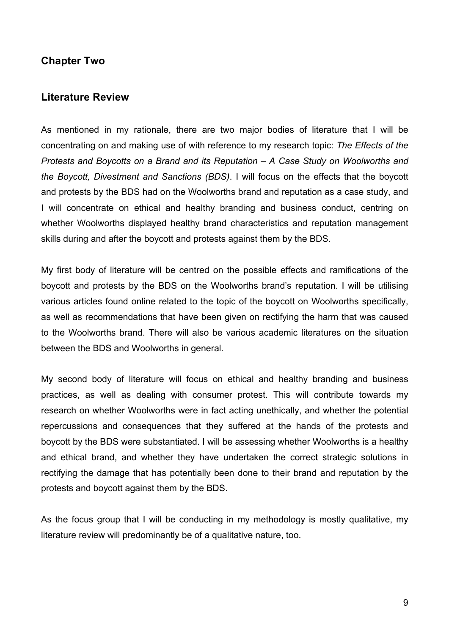### **Chapter Two**

#### **Literature Review**

As mentioned in my rationale, there are two major bodies of literature that I will be concentrating on and making use of with reference to my research topic: *The Effects of the Protests and Boycotts on a Brand and its Reputation – A Case Study on Woolworths and the Boycott, Divestment and Sanctions (BDS)*. I will focus on the effects that the boycott and protests by the BDS had on the Woolworths brand and reputation as a case study, and I will concentrate on ethical and healthy branding and business conduct, centring on whether Woolworths displayed healthy brand characteristics and reputation management skills during and after the boycott and protests against them by the BDS.

My first body of literature will be centred on the possible effects and ramifications of the boycott and protests by the BDS on the Woolworths brand's reputation. I will be utilising various articles found online related to the topic of the boycott on Woolworths specifically, as well as recommendations that have been given on rectifying the harm that was caused to the Woolworths brand. There will also be various academic literatures on the situation between the BDS and Woolworths in general.

My second body of literature will focus on ethical and healthy branding and business practices, as well as dealing with consumer protest. This will contribute towards my research on whether Woolworths were in fact acting unethically, and whether the potential repercussions and consequences that they suffered at the hands of the protests and boycott by the BDS were substantiated. I will be assessing whether Woolworths is a healthy and ethical brand, and whether they have undertaken the correct strategic solutions in rectifying the damage that has potentially been done to their brand and reputation by the protests and boycott against them by the BDS.

As the focus group that I will be conducting in my methodology is mostly qualitative, my literature review will predominantly be of a qualitative nature, too.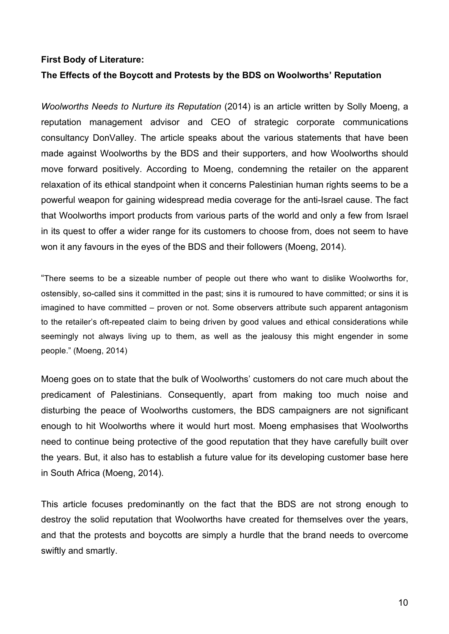#### **First Body of Literature:**

#### **The Effects of the Boycott and Protests by the BDS on Woolworths' Reputation**

*Woolworths Needs to Nurture its Reputation* (2014) is an article written by Solly Moeng, a reputation management advisor and CEO of strategic corporate communications consultancy DonValley. The article speaks about the various statements that have been made against Woolworths by the BDS and their supporters, and how Woolworths should move forward positively. According to Moeng, condemning the retailer on the apparent relaxation of its ethical standpoint when it concerns Palestinian human rights seems to be a powerful weapon for gaining widespread media coverage for the anti-Israel cause. The fact that Woolworths import products from various parts of the world and only a few from Israel in its quest to offer a wider range for its customers to choose from, does not seem to have won it any favours in the eyes of the BDS and their followers (Moeng, 2014).

"There seems to be a sizeable number of people out there who want to dislike Woolworths for, ostensibly, so-called sins it committed in the past; sins it is rumoured to have committed; or sins it is imagined to have committed – proven or not. Some observers attribute such apparent antagonism to the retailer's oft-repeated claim to being driven by good values and ethical considerations while seemingly not always living up to them, as well as the jealousy this might engender in some people." (Moeng, 2014)

Moeng goes on to state that the bulk of Woolworths' customers do not care much about the predicament of Palestinians. Consequently, apart from making too much noise and disturbing the peace of Woolworths customers, the BDS campaigners are not significant enough to hit Woolworths where it would hurt most. Moeng emphasises that Woolworths need to continue being protective of the good reputation that they have carefully built over the years. But, it also has to establish a future value for its developing customer base here in South Africa (Moeng, 2014).

This article focuses predominantly on the fact that the BDS are not strong enough to destroy the solid reputation that Woolworths have created for themselves over the years, and that the protests and boycotts are simply a hurdle that the brand needs to overcome swiftly and smartly.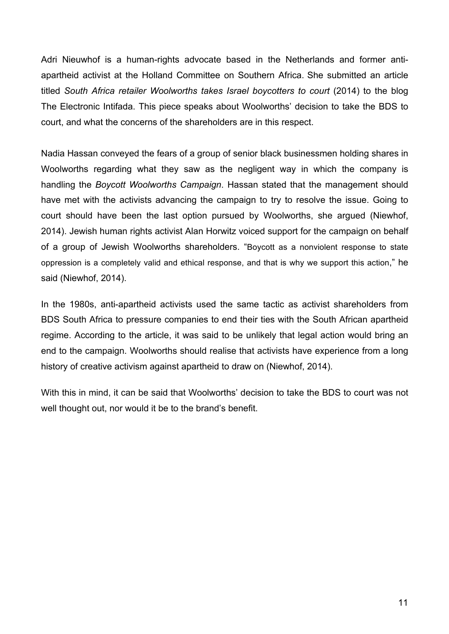Adri Nieuwhof is a human-rights advocate based in the Netherlands and former antiapartheid activist at the Holland Committee on Southern Africa. She submitted an article titled *South Africa retailer Woolworths takes Israel boycotters to court* (2014) to the blog The Electronic Intifada. This piece speaks about Woolworths' decision to take the BDS to court, and what the concerns of the shareholders are in this respect.

Nadia Hassan conveyed the fears of a group of senior black businessmen holding shares in Woolworths regarding what they saw as the negligent way in which the company is handling the *Boycott Woolworths Campaign*. Hassan stated that the management should have met with the activists advancing the campaign to try to resolve the issue. Going to court should have been the last option pursued by Woolworths, she argued (Niewhof, 2014). Jewish human rights activist Alan Horwitz voiced support for the campaign on behalf of a group of Jewish Woolworths shareholders. "Boycott as a nonviolent response to state oppression is a completely valid and ethical response, and that is why we support this action," he said (Niewhof, 2014).

In the 1980s, anti-apartheid activists used the same tactic as activist shareholders from BDS South Africa to pressure companies to end their ties with the South African apartheid regime. According to the article, it was said to be unlikely that legal action would bring an end to the campaign. Woolworths should realise that activists have experience from a long history of creative activism against apartheid to draw on (Niewhof, 2014).

With this in mind, it can be said that Woolworths' decision to take the BDS to court was not well thought out, nor would it be to the brand's benefit.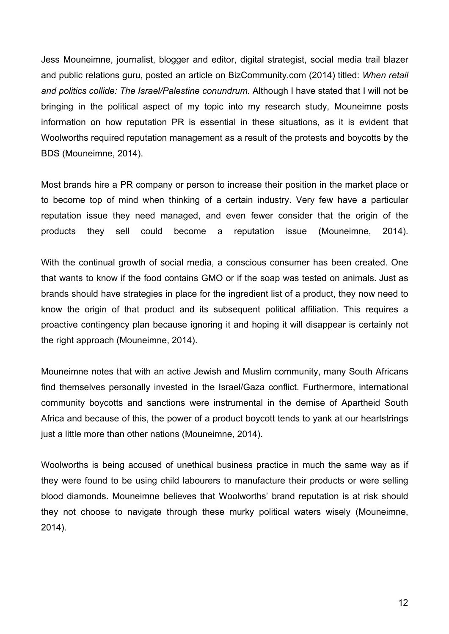Jess Mouneimne, journalist, blogger and editor, digital strategist, social media trail blazer and public relations guru, posted an article on BizCommunity.com (2014) titled: *When retail and politics collide: The Israel/Palestine conundrum.* Although I have stated that I will not be bringing in the political aspect of my topic into my research study, Mouneimne posts information on how reputation PR is essential in these situations, as it is evident that Woolworths required reputation management as a result of the protests and boycotts by the BDS (Mouneimne, 2014).

Most brands hire a PR company or person to increase their position in the market place or to become top of mind when thinking of a certain industry. Very few have a particular reputation issue they need managed, and even fewer consider that the origin of the products they sell could become a reputation issue (Mouneimne, 2014).

With the continual growth of social media, a conscious consumer has been created. One that wants to know if the food contains GMO or if the soap was tested on animals. Just as brands should have strategies in place for the ingredient list of a product, they now need to know the origin of that product and its subsequent political affiliation. This requires a proactive contingency plan because ignoring it and hoping it will disappear is certainly not the right approach (Mouneimne, 2014).

Mouneimne notes that with an active Jewish and Muslim community, many South Africans find themselves personally invested in the Israel/Gaza conflict. Furthermore, international community boycotts and sanctions were instrumental in the demise of Apartheid South Africa and because of this, the power of a product boycott tends to yank at our heartstrings just a little more than other nations (Mouneimne, 2014).

Woolworths is being accused of unethical business practice in much the same way as if they were found to be using child labourers to manufacture their products or were selling blood diamonds. Mouneimne believes that Woolworths' brand reputation is at risk should they not choose to navigate through these murky political waters wisely (Mouneimne, 2014).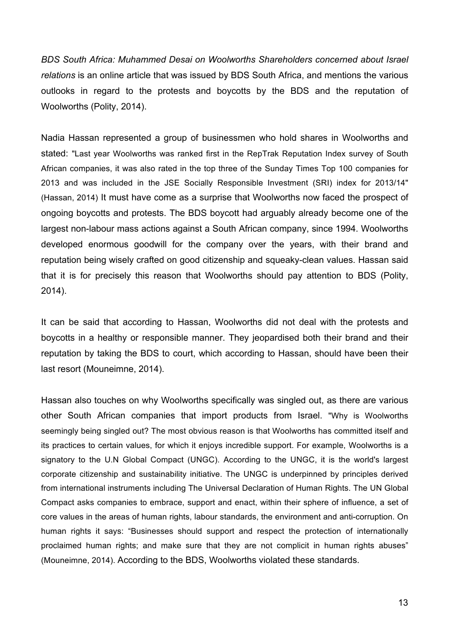*BDS South Africa: Muhammed Desai on Woolworths Shareholders concerned about Israel relations* is an online article that was issued by BDS South Africa, and mentions the various outlooks in regard to the protests and boycotts by the BDS and the reputation of Woolworths (Polity, 2014).

Nadia Hassan represented a group of businessmen who hold shares in Woolworths and stated: "Last year Woolworths was ranked first in the RepTrak Reputation Index survey of South African companies, it was also rated in the top three of the Sunday Times Top 100 companies for 2013 and was included in the JSE Socially Responsible Investment (SRI) index for 2013/14" (Hassan, 2014) It must have come as a surprise that Woolworths now faced the prospect of ongoing boycotts and protests. The BDS boycott had arguably already become one of the largest non-labour mass actions against a South African company, since 1994. Woolworths developed enormous goodwill for the company over the years, with their brand and reputation being wisely crafted on good citizenship and squeaky-clean values. Hassan said that it is for precisely this reason that Woolworths should pay attention to BDS (Polity, 2014).

It can be said that according to Hassan, Woolworths did not deal with the protests and boycotts in a healthy or responsible manner. They jeopardised both their brand and their reputation by taking the BDS to court, which according to Hassan, should have been their last resort (Mouneimne, 2014).

Hassan also touches on why Woolworths specifically was singled out, as there are various other South African companies that import products from Israel. "Why is Woolworths seemingly being singled out? The most obvious reason is that Woolworths has committed itself and its practices to certain values, for which it enjoys incredible support. For example, Woolworths is a signatory to the U.N Global Compact (UNGC). According to the UNGC, it is the world's largest corporate citizenship and sustainability initiative. The UNGC is underpinned by principles derived from international instruments including The Universal Declaration of Human Rights. The UN Global Compact asks companies to embrace, support and enact, within their sphere of influence, a set of core values in the areas of human rights, labour standards, the environment and anti-corruption. On human rights it says: "Businesses should support and respect the protection of internationally proclaimed human rights; and make sure that they are not complicit in human rights abuses" (Mouneimne, 2014). According to the BDS, Woolworths violated these standards.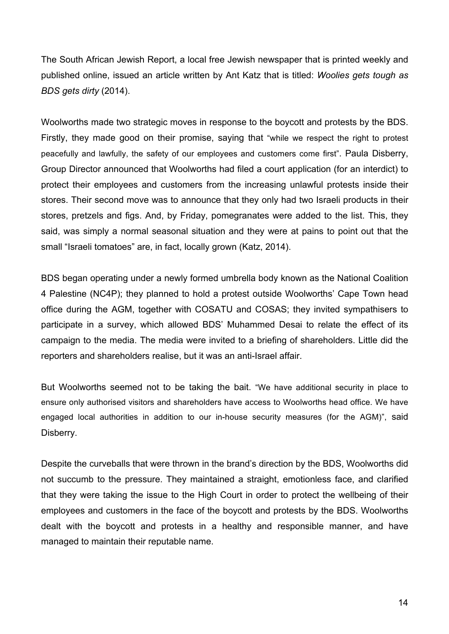The South African Jewish Report, a local free Jewish newspaper that is printed weekly and published online, issued an article written by Ant Katz that is titled: *Woolies gets tough as BDS gets dirty* (2014).

Woolworths made two strategic moves in response to the boycott and protests by the BDS. Firstly, they made good on their promise, saying that "while we respect the right to protest peacefully and lawfully, the safety of our employees and customers come first". Paula Disberry, Group Director announced that Woolworths had filed a court application (for an interdict) to protect their employees and customers from the increasing unlawful protests inside their stores. Their second move was to announce that they only had two Israeli products in their stores, pretzels and figs. And, by Friday, pomegranates were added to the list. This, they said, was simply a normal seasonal situation and they were at pains to point out that the small "Israeli tomatoes" are, in fact, locally grown (Katz, 2014).

BDS began operating under a newly formed umbrella body known as the National Coalition 4 Palestine (NC4P); they planned to hold a protest outside Woolworths' Cape Town head office during the AGM, together with COSATU and COSAS; they invited sympathisers to participate in a survey, which allowed BDS' Muhammed Desai to relate the effect of its campaign to the media. The media were invited to a briefing of shareholders. Little did the reporters and shareholders realise, but it was an anti-Israel affair.

But Woolworths seemed not to be taking the bait. "We have additional security in place to ensure only authorised visitors and shareholders have access to Woolworths head office. We have engaged local authorities in addition to our in-house security measures (for the AGM)", said Disberry.

Despite the curveballs that were thrown in the brand's direction by the BDS, Woolworths did not succumb to the pressure. They maintained a straight, emotionless face, and clarified that they were taking the issue to the High Court in order to protect the wellbeing of their employees and customers in the face of the boycott and protests by the BDS. Woolworths dealt with the boycott and protests in a healthy and responsible manner, and have managed to maintain their reputable name.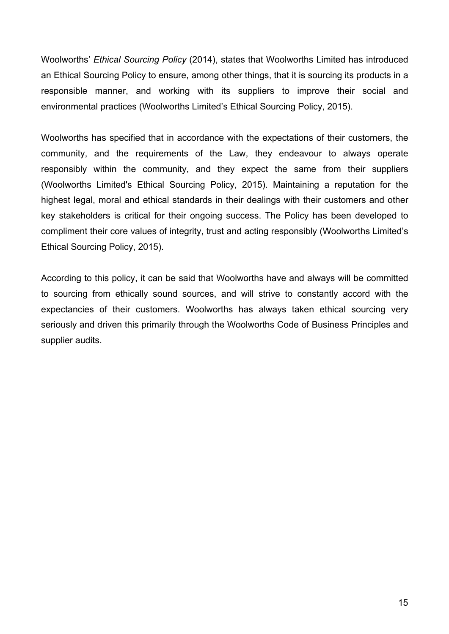Woolworths' *Ethical Sourcing Policy* (2014), states that Woolworths Limited has introduced an Ethical Sourcing Policy to ensure, among other things, that it is sourcing its products in a responsible manner, and working with its suppliers to improve their social and environmental practices (Woolworths Limited's Ethical Sourcing Policy, 2015).

Woolworths has specified that in accordance with the expectations of their customers, the community, and the requirements of the Law, they endeavour to always operate responsibly within the community, and they expect the same from their suppliers (Woolworths Limited's Ethical Sourcing Policy, 2015). Maintaining a reputation for the highest legal, moral and ethical standards in their dealings with their customers and other key stakeholders is critical for their ongoing success. The Policy has been developed to compliment their core values of integrity, trust and acting responsibly (Woolworths Limited's Ethical Sourcing Policy, 2015).

According to this policy, it can be said that Woolworths have and always will be committed to sourcing from ethically sound sources, and will strive to constantly accord with the expectancies of their customers. Woolworths has always taken ethical sourcing very seriously and driven this primarily through the Woolworths Code of Business Principles and supplier audits.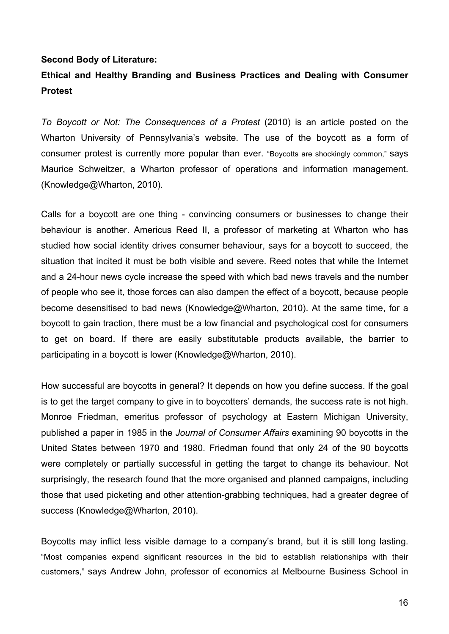#### **Second Body of Literature:**

## **Ethical and Healthy Branding and Business Practices and Dealing with Consumer Protest**

*To Boycott or Not: The Consequences of a Protest* (2010) is an article posted on the Wharton University of Pennsylvania's website. The use of the boycott as a form of consumer protest is currently more popular than ever. "Boycotts are shockingly common," says Maurice Schweitzer, a Wharton professor of operations and information management. (Knowledge@Wharton, 2010).

Calls for a boycott are one thing - convincing consumers or businesses to change their behaviour is another. Americus Reed II, a professor of marketing at Wharton who has studied how social identity drives consumer behaviour, says for a boycott to succeed, the situation that incited it must be both visible and severe. Reed notes that while the Internet and a 24-hour news cycle increase the speed with which bad news travels and the number of people who see it, those forces can also dampen the effect of a boycott, because people become desensitised to bad news (Knowledge@Wharton, 2010). At the same time, for a boycott to gain traction, there must be a low financial and psychological cost for consumers to get on board. If there are easily substitutable products available, the barrier to participating in a boycott is lower (Knowledge@Wharton, 2010).

How successful are boycotts in general? It depends on how you define success. If the goal is to get the target company to give in to boycotters' demands, the success rate is not high. Monroe Friedman, emeritus professor of psychology at Eastern Michigan University, published a paper in 1985 in the *Journal of Consumer Affairs* examining 90 boycotts in the United States between 1970 and 1980. Friedman found that only 24 of the 90 boycotts were completely or partially successful in getting the target to change its behaviour. Not surprisingly, the research found that the more organised and planned campaigns, including those that used picketing and other attention-grabbing techniques, had a greater degree of success (Knowledge@Wharton, 2010).

Boycotts may inflict less visible damage to a company's brand, but it is still long lasting. "Most companies expend significant resources in the bid to establish relationships with their customers," says Andrew John, professor of economics at Melbourne Business School in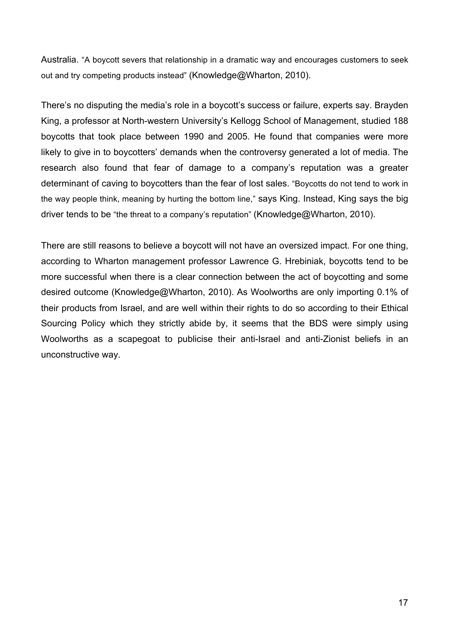Australia. "A boycott severs that relationship in a dramatic way and encourages customers to seek out and try competing products instead" (Knowledge@Wharton, 2010).

There's no disputing the media's role in a boycott's success or failure, experts say. Brayden King, a professor at North-western University's Kellogg School of Management, studied 188 boycotts that took place between 1990 and 2005. He found that companies were more likely to give in to boycotters' demands when the controversy generated a lot of media. The research also found that fear of damage to a company's reputation was a greater determinant of caving to boycotters than the fear of lost sales. "Boycotts do not tend to work in the way people think, meaning by hurting the bottom line," says King. Instead, King says the big driver tends to be "the threat to a company's reputation" (Knowledge@Wharton, 2010).

There are still reasons to believe a boycott will not have an oversized impact. For one thing, according to Wharton management professor Lawrence G. Hrebiniak, boycotts tend to be more successful when there is a clear connection between the act of boycotting and some desired outcome (Knowledge@Wharton, 2010). As Woolworths are only importing 0.1% of their products from Israel, and are well within their rights to do so according to their Ethical Sourcing Policy which they strictly abide by, it seems that the BDS were simply using Woolworths as a scapegoat to publicise their anti-Israel and anti-Zionist beliefs in an unconstructive way.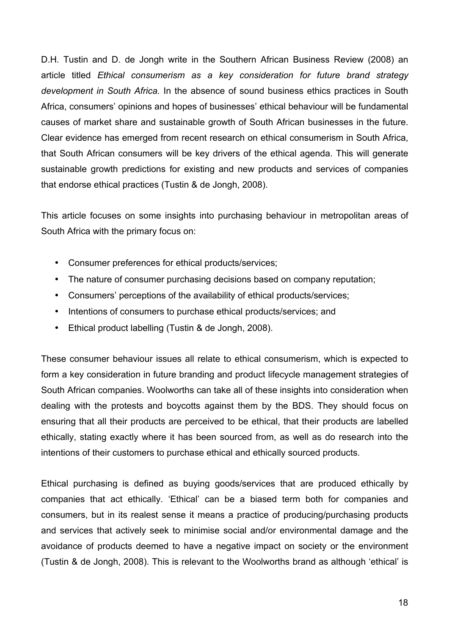D.H. Tustin and D. de Jongh write in the Southern African Business Review (2008) an article titled *Ethical consumerism as a key consideration for future brand strategy development in South Africa.* In the absence of sound business ethics practices in South Africa, consumers' opinions and hopes of businesses' ethical behaviour will be fundamental causes of market share and sustainable growth of South African businesses in the future. Clear evidence has emerged from recent research on ethical consumerism in South Africa, that South African consumers will be key drivers of the ethical agenda. This will generate sustainable growth predictions for existing and new products and services of companies that endorse ethical practices (Tustin & de Jongh, 2008).

This article focuses on some insights into purchasing behaviour in metropolitan areas of South Africa with the primary focus on:

- Consumer preferences for ethical products/services;
- The nature of consumer purchasing decisions based on company reputation;
- Consumers' perceptions of the availability of ethical products/services;
- Intentions of consumers to purchase ethical products/services; and
- Ethical product labelling (Tustin & de Jongh, 2008).

These consumer behaviour issues all relate to ethical consumerism, which is expected to form a key consideration in future branding and product lifecycle management strategies of South African companies. Woolworths can take all of these insights into consideration when dealing with the protests and boycotts against them by the BDS. They should focus on ensuring that all their products are perceived to be ethical, that their products are labelled ethically, stating exactly where it has been sourced from, as well as do research into the intentions of their customers to purchase ethical and ethically sourced products.

Ethical purchasing is defined as buying goods/services that are produced ethically by companies that act ethically. 'Ethical' can be a biased term both for companies and consumers, but in its realest sense it means a practice of producing/purchasing products and services that actively seek to minimise social and/or environmental damage and the avoidance of products deemed to have a negative impact on society or the environment (Tustin & de Jongh, 2008). This is relevant to the Woolworths brand as although 'ethical' is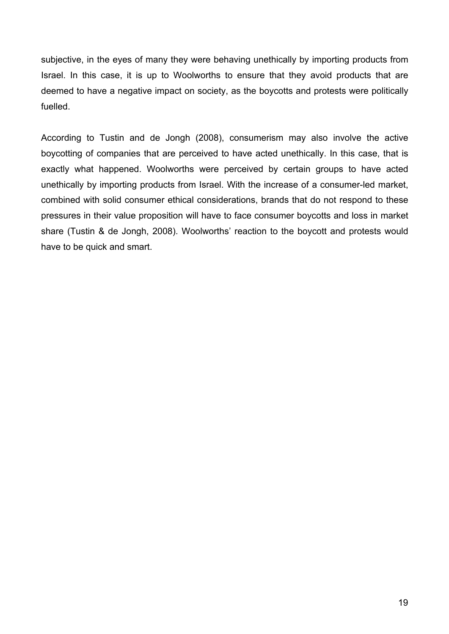subjective, in the eyes of many they were behaving unethically by importing products from Israel. In this case, it is up to Woolworths to ensure that they avoid products that are deemed to have a negative impact on society, as the boycotts and protests were politically fuelled.

According to Tustin and de Jongh (2008), consumerism may also involve the active boycotting of companies that are perceived to have acted unethically. In this case, that is exactly what happened. Woolworths were perceived by certain groups to have acted unethically by importing products from Israel. With the increase of a consumer-led market, combined with solid consumer ethical considerations, brands that do not respond to these pressures in their value proposition will have to face consumer boycotts and loss in market share (Tustin & de Jongh, 2008). Woolworths' reaction to the boycott and protests would have to be quick and smart.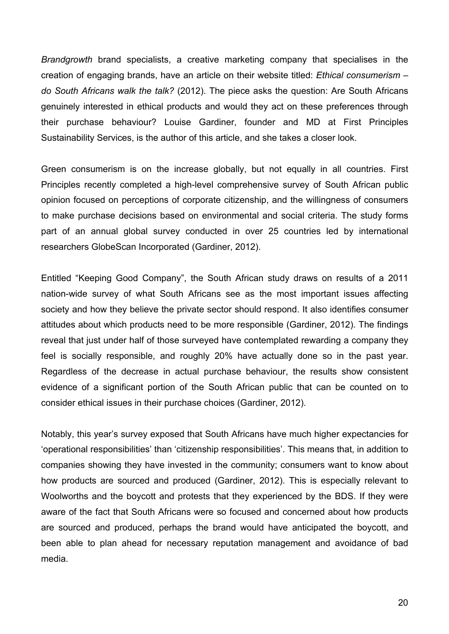*Brandgrowth* brand specialists, a creative marketing company that specialises in the creation of engaging brands, have an article on their website titled: *Ethical consumerism – do South Africans walk the talk?* (2012). The piece asks the question: Are South Africans genuinely interested in ethical products and would they act on these preferences through their purchase behaviour? Louise Gardiner, founder and MD at First Principles Sustainability Services, is the author of this article, and she takes a closer look.

Green consumerism is on the increase globally, but not equally in all countries. First Principles recently completed a high-level comprehensive survey of South African public opinion focused on perceptions of corporate citizenship, and the willingness of consumers to make purchase decisions based on environmental and social criteria. The study forms part of an annual global survey conducted in over 25 countries led by international researchers GlobeScan Incorporated (Gardiner, 2012).

Entitled "Keeping Good Company", the South African study draws on results of a 2011 nation-wide survey of what South Africans see as the most important issues affecting society and how they believe the private sector should respond. It also identifies consumer attitudes about which products need to be more responsible (Gardiner, 2012). The findings reveal that just under half of those surveyed have contemplated rewarding a company they feel is socially responsible, and roughly 20% have actually done so in the past year. Regardless of the decrease in actual purchase behaviour, the results show consistent evidence of a significant portion of the South African public that can be counted on to consider ethical issues in their purchase choices (Gardiner, 2012).

Notably, this year's survey exposed that South Africans have much higher expectancies for 'operational responsibilities' than 'citizenship responsibilities'. This means that, in addition to companies showing they have invested in the community; consumers want to know about how products are sourced and produced (Gardiner, 2012). This is especially relevant to Woolworths and the boycott and protests that they experienced by the BDS. If they were aware of the fact that South Africans were so focused and concerned about how products are sourced and produced, perhaps the brand would have anticipated the boycott, and been able to plan ahead for necessary reputation management and avoidance of bad media.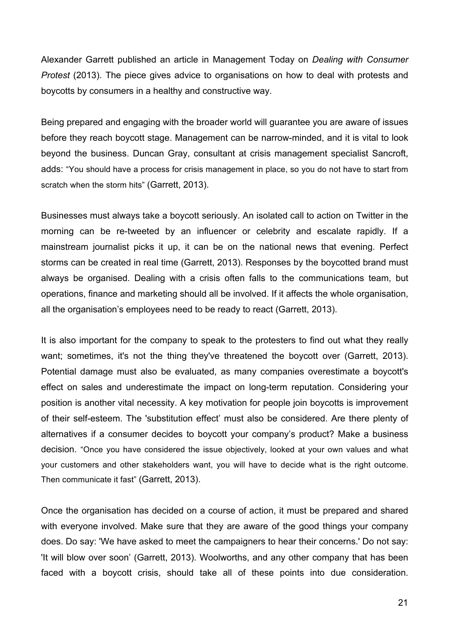Alexander Garrett published an article in Management Today on *Dealing with Consumer Protest* (2013). The piece gives advice to organisations on how to deal with protests and boycotts by consumers in a healthy and constructive way.

Being prepared and engaging with the broader world will guarantee you are aware of issues before they reach boycott stage. Management can be narrow-minded, and it is vital to look beyond the business. Duncan Gray, consultant at crisis management specialist Sancroft, adds: "You should have a process for crisis management in place, so you do not have to start from scratch when the storm hits" (Garrett, 2013).

Businesses must always take a boycott seriously. An isolated call to action on Twitter in the morning can be re-tweeted by an influencer or celebrity and escalate rapidly. If a mainstream journalist picks it up, it can be on the national news that evening. Perfect storms can be created in real time (Garrett, 2013). Responses by the boycotted brand must always be organised. Dealing with a crisis often falls to the communications team, but operations, finance and marketing should all be involved. If it affects the whole organisation, all the organisation's employees need to be ready to react (Garrett, 2013).

It is also important for the company to speak to the protesters to find out what they really want; sometimes, it's not the thing they've threatened the boycott over (Garrett, 2013). Potential damage must also be evaluated, as many companies overestimate a boycott's effect on sales and underestimate the impact on long-term reputation. Considering your position is another vital necessity. A key motivation for people join boycotts is improvement of their self-esteem. The 'substitution effect' must also be considered. Are there plenty of alternatives if a consumer decides to boycott your company's product? Make a business decision. "Once you have considered the issue objectively, looked at your own values and what your customers and other stakeholders want, you will have to decide what is the right outcome. Then communicate it fast" (Garrett, 2013).

Once the organisation has decided on a course of action, it must be prepared and shared with everyone involved. Make sure that they are aware of the good things your company does. Do say: 'We have asked to meet the campaigners to hear their concerns.' Do not say: 'It will blow over soon' (Garrett, 2013). Woolworths, and any other company that has been faced with a boycott crisis, should take all of these points into due consideration.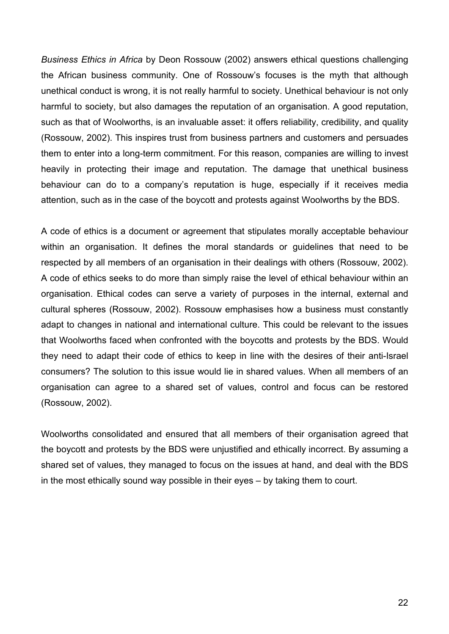*Business Ethics in Africa* by Deon Rossouw (2002) answers ethical questions challenging the African business community. One of Rossouw's focuses is the myth that although unethical conduct is wrong, it is not really harmful to society. Unethical behaviour is not only harmful to society, but also damages the reputation of an organisation. A good reputation, such as that of Woolworths, is an invaluable asset: it offers reliability, credibility, and quality (Rossouw, 2002). This inspires trust from business partners and customers and persuades them to enter into a long-term commitment. For this reason, companies are willing to invest heavily in protecting their image and reputation. The damage that unethical business behaviour can do to a company's reputation is huge, especially if it receives media attention, such as in the case of the boycott and protests against Woolworths by the BDS.

A code of ethics is a document or agreement that stipulates morally acceptable behaviour within an organisation. It defines the moral standards or guidelines that need to be respected by all members of an organisation in their dealings with others (Rossouw, 2002). A code of ethics seeks to do more than simply raise the level of ethical behaviour within an organisation. Ethical codes can serve a variety of purposes in the internal, external and cultural spheres (Rossouw, 2002). Rossouw emphasises how a business must constantly adapt to changes in national and international culture. This could be relevant to the issues that Woolworths faced when confronted with the boycotts and protests by the BDS. Would they need to adapt their code of ethics to keep in line with the desires of their anti-Israel consumers? The solution to this issue would lie in shared values. When all members of an organisation can agree to a shared set of values, control and focus can be restored (Rossouw, 2002).

Woolworths consolidated and ensured that all members of their organisation agreed that the boycott and protests by the BDS were unjustified and ethically incorrect. By assuming a shared set of values, they managed to focus on the issues at hand, and deal with the BDS in the most ethically sound way possible in their eyes – by taking them to court.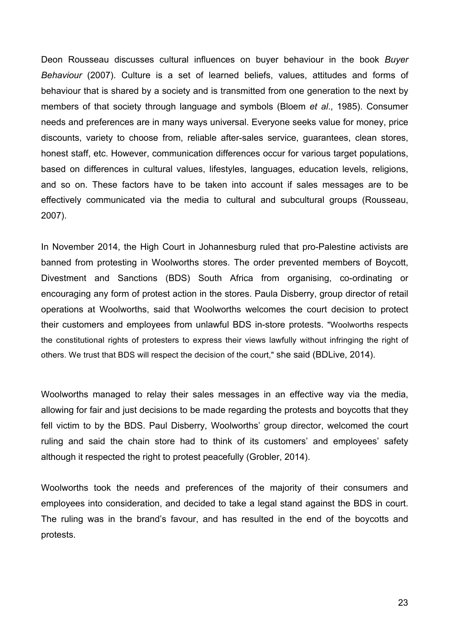Deon Rousseau discusses cultural influences on buyer behaviour in the book *Buyer Behaviour* (2007). Culture is a set of learned beliefs, values, attitudes and forms of behaviour that is shared by a society and is transmitted from one generation to the next by members of that society through language and symbols (Bloem *et al*., 1985). Consumer needs and preferences are in many ways universal. Everyone seeks value for money, price discounts, variety to choose from, reliable after-sales service, guarantees, clean stores, honest staff, etc. However, communication differences occur for various target populations, based on differences in cultural values, lifestyles, languages, education levels, religions, and so on. These factors have to be taken into account if sales messages are to be effectively communicated via the media to cultural and subcultural groups (Rousseau, 2007).

In November 2014, the High Court in Johannesburg ruled that pro-Palestine activists are banned from protesting in Woolworths stores. The order prevented members of Boycott, Divestment and Sanctions (BDS) South Africa from organising, co-ordinating or encouraging any form of protest action in the stores. Paula Disberry, group director of retail operations at Woolworths, said that Woolworths welcomes the court decision to protect their customers and employees from unlawful BDS in-store protests. "Woolworths respects the constitutional rights of protesters to express their views lawfully without infringing the right of others. We trust that BDS will respect the decision of the court," she said (BDLive, 2014).

Woolworths managed to relay their sales messages in an effective way via the media, allowing for fair and just decisions to be made regarding the protests and boycotts that they fell victim to by the BDS. Paul Disberry, Woolworths' group director, welcomed the court ruling and said the chain store had to think of its customers' and employees' safety although it respected the right to protest peacefully (Grobler, 2014).

Woolworths took the needs and preferences of the majority of their consumers and employees into consideration, and decided to take a legal stand against the BDS in court. The ruling was in the brand's favour, and has resulted in the end of the boycotts and protests.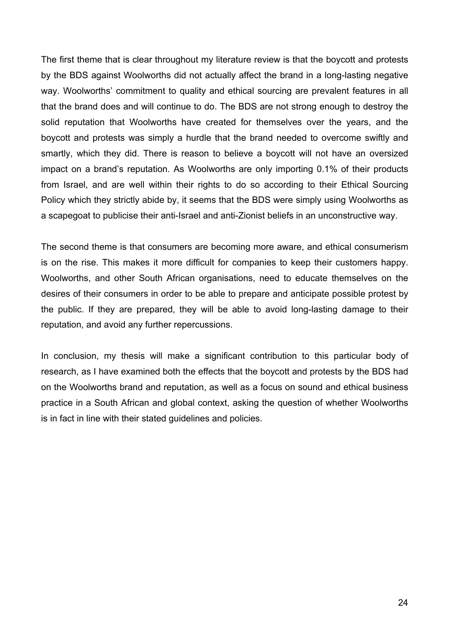The first theme that is clear throughout my literature review is that the boycott and protests by the BDS against Woolworths did not actually affect the brand in a long-lasting negative way. Woolworths' commitment to quality and ethical sourcing are prevalent features in all that the brand does and will continue to do. The BDS are not strong enough to destroy the solid reputation that Woolworths have created for themselves over the years, and the boycott and protests was simply a hurdle that the brand needed to overcome swiftly and smartly, which they did. There is reason to believe a boycott will not have an oversized impact on a brand's reputation. As Woolworths are only importing 0.1% of their products from Israel, and are well within their rights to do so according to their Ethical Sourcing Policy which they strictly abide by, it seems that the BDS were simply using Woolworths as a scapegoat to publicise their anti-Israel and anti-Zionist beliefs in an unconstructive way.

The second theme is that consumers are becoming more aware, and ethical consumerism is on the rise. This makes it more difficult for companies to keep their customers happy. Woolworths, and other South African organisations, need to educate themselves on the desires of their consumers in order to be able to prepare and anticipate possible protest by the public. If they are prepared, they will be able to avoid long-lasting damage to their reputation, and avoid any further repercussions.

In conclusion, my thesis will make a significant contribution to this particular body of research, as I have examined both the effects that the boycott and protests by the BDS had on the Woolworths brand and reputation, as well as a focus on sound and ethical business practice in a South African and global context, asking the question of whether Woolworths is in fact in line with their stated guidelines and policies.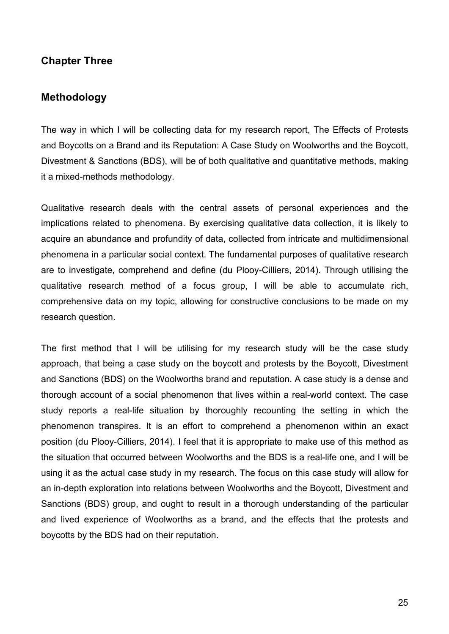### **Chapter Three**

#### **Methodology**

The way in which I will be collecting data for my research report, The Effects of Protests and Boycotts on a Brand and its Reputation: A Case Study on Woolworths and the Boycott, Divestment & Sanctions (BDS), will be of both qualitative and quantitative methods, making it a mixed-methods methodology.

Qualitative research deals with the central assets of personal experiences and the implications related to phenomena. By exercising qualitative data collection, it is likely to acquire an abundance and profundity of data, collected from intricate and multidimensional phenomena in a particular social context. The fundamental purposes of qualitative research are to investigate, comprehend and define (du Plooy-Cilliers, 2014). Through utilising the qualitative research method of a focus group, I will be able to accumulate rich, comprehensive data on my topic, allowing for constructive conclusions to be made on my research question.

The first method that I will be utilising for my research study will be the case study approach, that being a case study on the boycott and protests by the Boycott, Divestment and Sanctions (BDS) on the Woolworths brand and reputation. A case study is a dense and thorough account of a social phenomenon that lives within a real-world context. The case study reports a real-life situation by thoroughly recounting the setting in which the phenomenon transpires. It is an effort to comprehend a phenomenon within an exact position (du Plooy-Cilliers, 2014). I feel that it is appropriate to make use of this method as the situation that occurred between Woolworths and the BDS is a real-life one, and I will be using it as the actual case study in my research. The focus on this case study will allow for an in-depth exploration into relations between Woolworths and the Boycott, Divestment and Sanctions (BDS) group, and ought to result in a thorough understanding of the particular and lived experience of Woolworths as a brand, and the effects that the protests and boycotts by the BDS had on their reputation.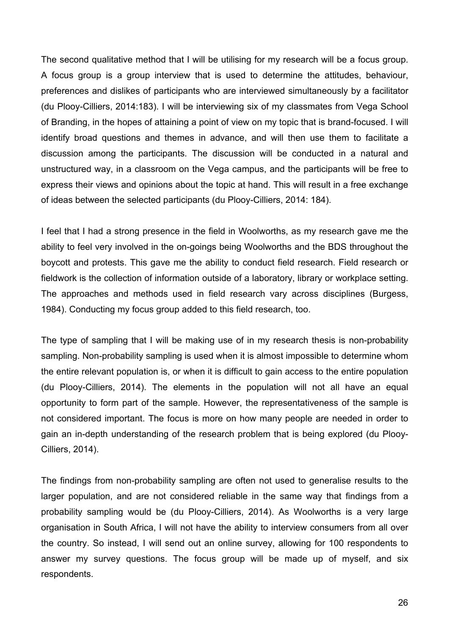The second qualitative method that I will be utilising for my research will be a focus group. A focus group is a group interview that is used to determine the attitudes, behaviour, preferences and dislikes of participants who are interviewed simultaneously by a facilitator (du Plooy-Cilliers, 2014:183). I will be interviewing six of my classmates from Vega School of Branding, in the hopes of attaining a point of view on my topic that is brand-focused. I will identify broad questions and themes in advance, and will then use them to facilitate a discussion among the participants. The discussion will be conducted in a natural and unstructured way, in a classroom on the Vega campus, and the participants will be free to express their views and opinions about the topic at hand. This will result in a free exchange of ideas between the selected participants (du Plooy-Cilliers, 2014: 184).

I feel that I had a strong presence in the field in Woolworths, as my research gave me the ability to feel very involved in the on-goings being Woolworths and the BDS throughout the boycott and protests. This gave me the ability to conduct field research. Field research or fieldwork is the collection of information outside of a laboratory, library or workplace setting. The approaches and methods used in field research vary across disciplines (Burgess, 1984). Conducting my focus group added to this field research, too.

The type of sampling that I will be making use of in my research thesis is non-probability sampling. Non-probability sampling is used when it is almost impossible to determine whom the entire relevant population is, or when it is difficult to gain access to the entire population (du Plooy-Cilliers, 2014). The elements in the population will not all have an equal opportunity to form part of the sample. However, the representativeness of the sample is not considered important. The focus is more on how many people are needed in order to gain an in-depth understanding of the research problem that is being explored (du Plooy-Cilliers, 2014).

The findings from non-probability sampling are often not used to generalise results to the larger population, and are not considered reliable in the same way that findings from a probability sampling would be (du Plooy-Cilliers, 2014). As Woolworths is a very large organisation in South Africa, I will not have the ability to interview consumers from all over the country. So instead, I will send out an online survey, allowing for 100 respondents to answer my survey questions. The focus group will be made up of myself, and six respondents.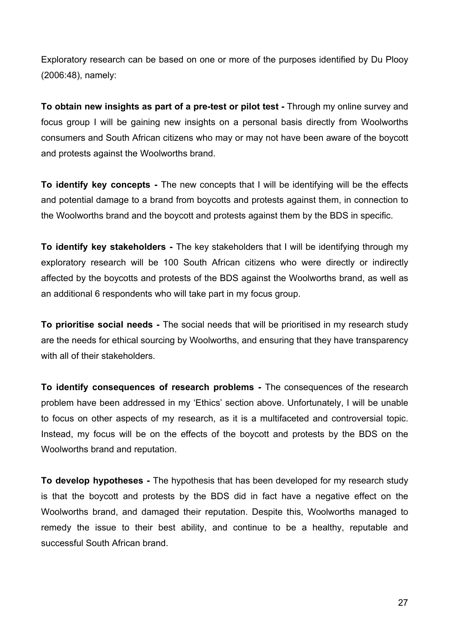Exploratory research can be based on one or more of the purposes identified by Du Plooy (2006:48), namely:

**To obtain new insights as part of a pre-test or pilot test -** Through my online survey and focus group I will be gaining new insights on a personal basis directly from Woolworths consumers and South African citizens who may or may not have been aware of the boycott and protests against the Woolworths brand.

**To identify key concepts -** The new concepts that I will be identifying will be the effects and potential damage to a brand from boycotts and protests against them, in connection to the Woolworths brand and the boycott and protests against them by the BDS in specific.

**To identify key stakeholders -** The key stakeholders that I will be identifying through my exploratory research will be 100 South African citizens who were directly or indirectly affected by the boycotts and protests of the BDS against the Woolworths brand, as well as an additional 6 respondents who will take part in my focus group.

**To prioritise social needs -** The social needs that will be prioritised in my research study are the needs for ethical sourcing by Woolworths, and ensuring that they have transparency with all of their stakeholders.

**To identify consequences of research problems -** The consequences of the research problem have been addressed in my 'Ethics' section above. Unfortunately, I will be unable to focus on other aspects of my research, as it is a multifaceted and controversial topic. Instead, my focus will be on the effects of the boycott and protests by the BDS on the Woolworths brand and reputation.

**To develop hypotheses -** The hypothesis that has been developed for my research study is that the boycott and protests by the BDS did in fact have a negative effect on the Woolworths brand, and damaged their reputation. Despite this, Woolworths managed to remedy the issue to their best ability, and continue to be a healthy, reputable and successful South African brand.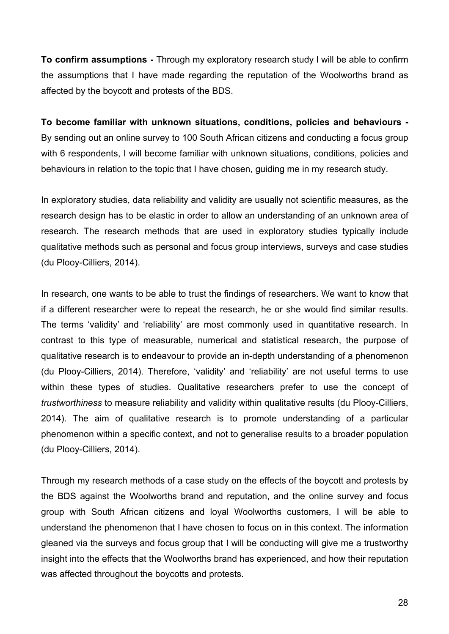**To confirm assumptions -** Through my exploratory research study I will be able to confirm the assumptions that I have made regarding the reputation of the Woolworths brand as affected by the boycott and protests of the BDS.

**To become familiar with unknown situations, conditions, policies and behaviours -** By sending out an online survey to 100 South African citizens and conducting a focus group with 6 respondents, I will become familiar with unknown situations, conditions, policies and behaviours in relation to the topic that I have chosen, guiding me in my research study.

In exploratory studies, data reliability and validity are usually not scientific measures, as the research design has to be elastic in order to allow an understanding of an unknown area of research. The research methods that are used in exploratory studies typically include qualitative methods such as personal and focus group interviews, surveys and case studies (du Plooy-Cilliers, 2014).

In research, one wants to be able to trust the findings of researchers. We want to know that if a different researcher were to repeat the research, he or she would find similar results. The terms 'validity' and 'reliability' are most commonly used in quantitative research. In contrast to this type of measurable, numerical and statistical research, the purpose of qualitative research is to endeavour to provide an in-depth understanding of a phenomenon (du Plooy-Cilliers, 2014). Therefore, 'validity' and 'reliability' are not useful terms to use within these types of studies. Qualitative researchers prefer to use the concept of *trustworthiness* to measure reliability and validity within qualitative results (du Plooy-Cilliers, 2014). The aim of qualitative research is to promote understanding of a particular phenomenon within a specific context, and not to generalise results to a broader population (du Plooy-Cilliers, 2014).

Through my research methods of a case study on the effects of the boycott and protests by the BDS against the Woolworths brand and reputation, and the online survey and focus group with South African citizens and loyal Woolworths customers, I will be able to understand the phenomenon that I have chosen to focus on in this context. The information gleaned via the surveys and focus group that I will be conducting will give me a trustworthy insight into the effects that the Woolworths brand has experienced, and how their reputation was affected throughout the boycotts and protests.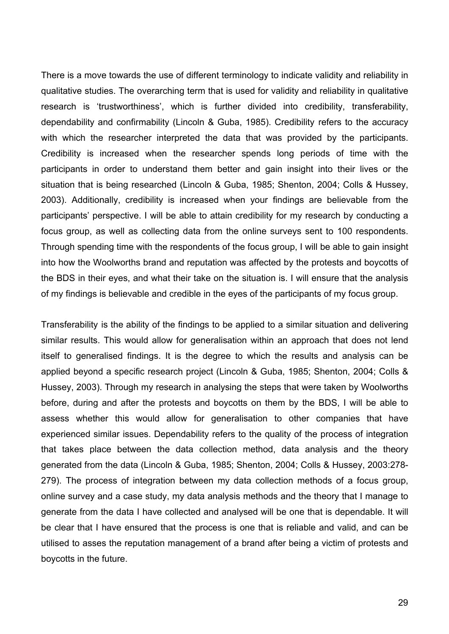There is a move towards the use of different terminology to indicate validity and reliability in qualitative studies. The overarching term that is used for validity and reliability in qualitative research is 'trustworthiness', which is further divided into credibility, transferability, dependability and confirmability (Lincoln & Guba, 1985). Credibility refers to the accuracy with which the researcher interpreted the data that was provided by the participants. Credibility is increased when the researcher spends long periods of time with the participants in order to understand them better and gain insight into their lives or the situation that is being researched (Lincoln & Guba, 1985; Shenton, 2004; Colls & Hussey, 2003). Additionally, credibility is increased when your findings are believable from the participants' perspective. I will be able to attain credibility for my research by conducting a focus group, as well as collecting data from the online surveys sent to 100 respondents. Through spending time with the respondents of the focus group, I will be able to gain insight into how the Woolworths brand and reputation was affected by the protests and boycotts of the BDS in their eyes, and what their take on the situation is. I will ensure that the analysis of my findings is believable and credible in the eyes of the participants of my focus group.

Transferability is the ability of the findings to be applied to a similar situation and delivering similar results. This would allow for generalisation within an approach that does not lend itself to generalised findings. It is the degree to which the results and analysis can be applied beyond a specific research project (Lincoln & Guba, 1985; Shenton, 2004; Colls & Hussey, 2003). Through my research in analysing the steps that were taken by Woolworths before, during and after the protests and boycotts on them by the BDS, I will be able to assess whether this would allow for generalisation to other companies that have experienced similar issues. Dependability refers to the quality of the process of integration that takes place between the data collection method, data analysis and the theory generated from the data (Lincoln & Guba, 1985; Shenton, 2004; Colls & Hussey, 2003:278- 279). The process of integration between my data collection methods of a focus group, online survey and a case study, my data analysis methods and the theory that I manage to generate from the data I have collected and analysed will be one that is dependable. It will be clear that I have ensured that the process is one that is reliable and valid, and can be utilised to asses the reputation management of a brand after being a victim of protests and boycotts in the future.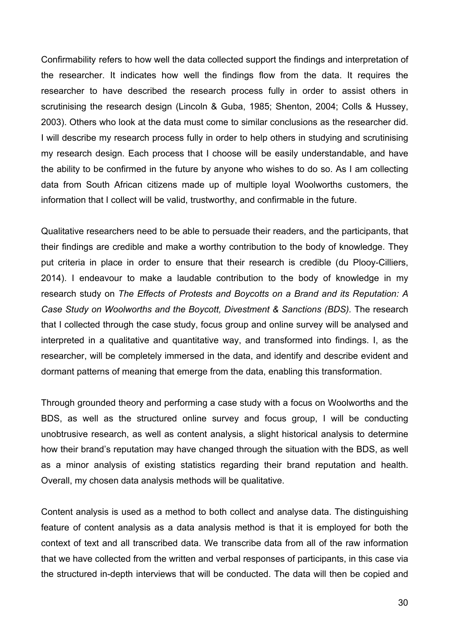Confirmability refers to how well the data collected support the findings and interpretation of the researcher. It indicates how well the findings flow from the data. It requires the researcher to have described the research process fully in order to assist others in scrutinising the research design (Lincoln & Guba, 1985; Shenton, 2004; Colls & Hussey, 2003). Others who look at the data must come to similar conclusions as the researcher did. I will describe my research process fully in order to help others in studying and scrutinising my research design. Each process that I choose will be easily understandable, and have the ability to be confirmed in the future by anyone who wishes to do so. As I am collecting data from South African citizens made up of multiple loyal Woolworths customers, the information that I collect will be valid, trustworthy, and confirmable in the future.

Qualitative researchers need to be able to persuade their readers, and the participants, that their findings are credible and make a worthy contribution to the body of knowledge. They put criteria in place in order to ensure that their research is credible (du Plooy-Cilliers, 2014). I endeavour to make a laudable contribution to the body of knowledge in my research study on *The Effects of Protests and Boycotts on a Brand and its Reputation: A Case Study on Woolworths and the Boycott, Divestment & Sanctions (BDS).* The research that I collected through the case study, focus group and online survey will be analysed and interpreted in a qualitative and quantitative way, and transformed into findings. I, as the researcher, will be completely immersed in the data, and identify and describe evident and dormant patterns of meaning that emerge from the data, enabling this transformation.

Through grounded theory and performing a case study with a focus on Woolworths and the BDS, as well as the structured online survey and focus group, I will be conducting unobtrusive research, as well as content analysis, a slight historical analysis to determine how their brand's reputation may have changed through the situation with the BDS, as well as a minor analysis of existing statistics regarding their brand reputation and health. Overall, my chosen data analysis methods will be qualitative.

Content analysis is used as a method to both collect and analyse data. The distinguishing feature of content analysis as a data analysis method is that it is employed for both the context of text and all transcribed data. We transcribe data from all of the raw information that we have collected from the written and verbal responses of participants, in this case via the structured in-depth interviews that will be conducted. The data will then be copied and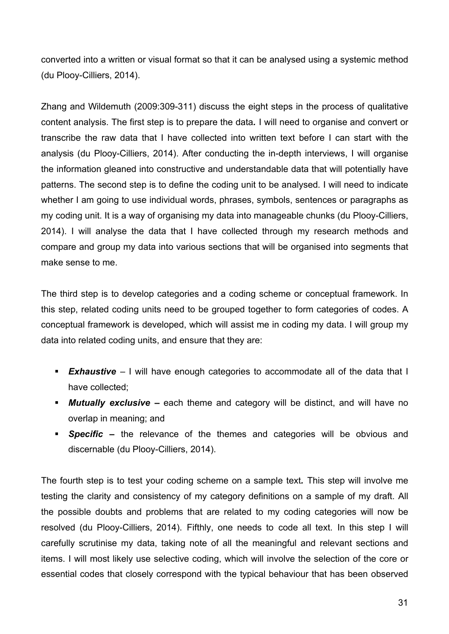converted into a written or visual format so that it can be analysed using a systemic method (du Plooy-Cilliers, 2014).

Zhang and Wildemuth (2009:309-311) discuss the eight steps in the process of qualitative content analysis. The first step is to prepare the data*.* I will need to organise and convert or transcribe the raw data that I have collected into written text before I can start with the analysis (du Plooy-Cilliers, 2014). After conducting the in-depth interviews, I will organise the information gleaned into constructive and understandable data that will potentially have patterns. The second step is to define the coding unit to be analysed*.* I will need to indicate whether I am going to use individual words, phrases, symbols, sentences or paragraphs as my coding unit. It is a way of organising my data into manageable chunks (du Plooy-Cilliers, 2014). I will analyse the data that I have collected through my research methods and compare and group my data into various sections that will be organised into segments that make sense to me.

The third step is to develop categories and a coding scheme or conceptual framework. In this step, related coding units need to be grouped together to form categories of codes. A conceptual framework is developed, which will assist me in coding my data. I will group my data into related coding units, and ensure that they are:

- **Exhaustive** I will have enough categories to accommodate all of the data that I have collected;
- **Mutually exclusive** each theme and category will be distinct, and will have no overlap in meaning; and
- **• Specific** the relevance of the themes and categories will be obvious and discernable (du Plooy-Cilliers, 2014).

The fourth step is to test your coding scheme on a sample text*.* This step will involve me testing the clarity and consistency of my category definitions on a sample of my draft. All the possible doubts and problems that are related to my coding categories will now be resolved (du Plooy-Cilliers, 2014). Fifthly, one needs to code all text. In this step I will carefully scrutinise my data, taking note of all the meaningful and relevant sections and items. I will most likely use selective coding, which will involve the selection of the core or essential codes that closely correspond with the typical behaviour that has been observed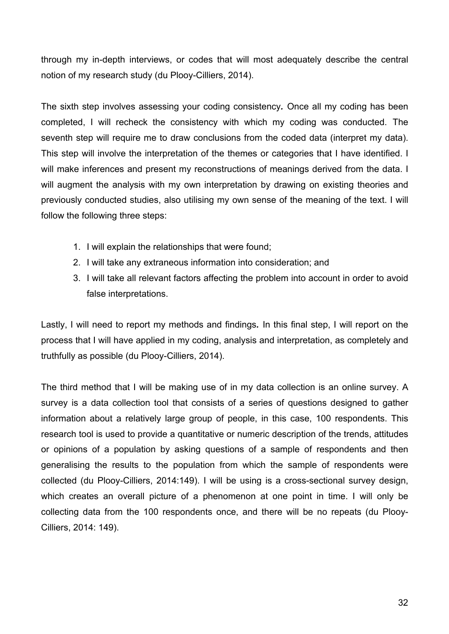through my in-depth interviews, or codes that will most adequately describe the central notion of my research study (du Plooy-Cilliers, 2014).

The sixth step involves assessing your coding consistency*.* Once all my coding has been completed, I will recheck the consistency with which my coding was conducted. The seventh step will require me to draw conclusions from the coded data (interpret my data). This step will involve the interpretation of the themes or categories that I have identified. I will make inferences and present my reconstructions of meanings derived from the data. I will augment the analysis with my own interpretation by drawing on existing theories and previously conducted studies, also utilising my own sense of the meaning of the text. I will follow the following three steps:

- 1. I will explain the relationships that were found;
- 2. I will take any extraneous information into consideration; and
- 3. I will take all relevant factors affecting the problem into account in order to avoid false interpretations.

Lastly, I will need to report my methods and findings*.* In this final step, I will report on the process that I will have applied in my coding, analysis and interpretation, as completely and truthfully as possible (du Plooy-Cilliers, 2014).

The third method that I will be making use of in my data collection is an online survey. A survey is a data collection tool that consists of a series of questions designed to gather information about a relatively large group of people, in this case, 100 respondents. This research tool is used to provide a quantitative or numeric description of the trends, attitudes or opinions of a population by asking questions of a sample of respondents and then generalising the results to the population from which the sample of respondents were collected (du Plooy-Cilliers, 2014:149). I will be using is a cross-sectional survey design, which creates an overall picture of a phenomenon at one point in time. I will only be collecting data from the 100 respondents once, and there will be no repeats (du Plooy-Cilliers, 2014: 149).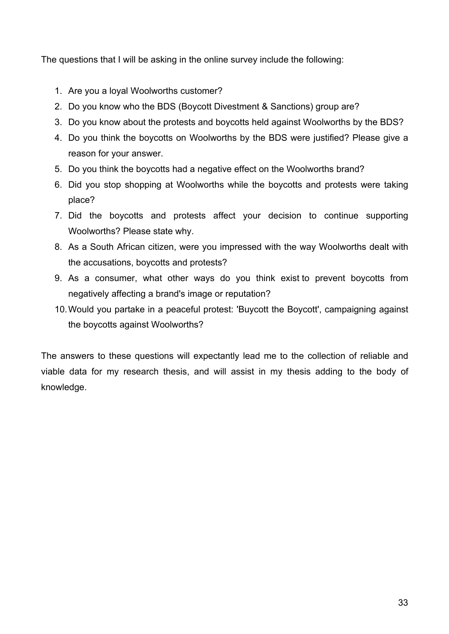The questions that I will be asking in the online survey include the following:

- 1. Are you a loyal Woolworths customer?
- 2. Do you know who the BDS (Boycott Divestment & Sanctions) group are?
- 3. Do you know about the protests and boycotts held against Woolworths by the BDS?
- 4. Do you think the boycotts on Woolworths by the BDS were justified? Please give a reason for your answer.
- 5. Do you think the boycotts had a negative effect on the Woolworths brand?
- 6. Did you stop shopping at Woolworths while the boycotts and protests were taking place?
- 7. Did the boycotts and protests affect your decision to continue supporting Woolworths? Please state why.
- 8. As a South African citizen, were you impressed with the way Woolworths dealt with the accusations, boycotts and protests?
- 9. As a consumer, what other ways do you think exist to prevent boycotts from negatively affecting a brand's image or reputation?
- 10.Would you partake in a peaceful protest: 'Buycott the Boycott', campaigning against the boycotts against Woolworths?

The answers to these questions will expectantly lead me to the collection of reliable and viable data for my research thesis, and will assist in my thesis adding to the body of knowledge.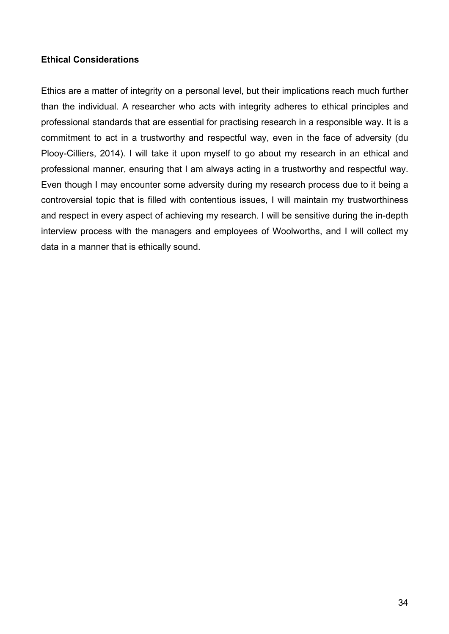#### **Ethical Considerations**

Ethics are a matter of integrity on a personal level, but their implications reach much further than the individual. A researcher who acts with integrity adheres to ethical principles and professional standards that are essential for practising research in a responsible way. It is a commitment to act in a trustworthy and respectful way, even in the face of adversity (du Plooy-Cilliers, 2014). I will take it upon myself to go about my research in an ethical and professional manner, ensuring that I am always acting in a trustworthy and respectful way. Even though I may encounter some adversity during my research process due to it being a controversial topic that is filled with contentious issues, I will maintain my trustworthiness and respect in every aspect of achieving my research. I will be sensitive during the in-depth interview process with the managers and employees of Woolworths, and I will collect my data in a manner that is ethically sound.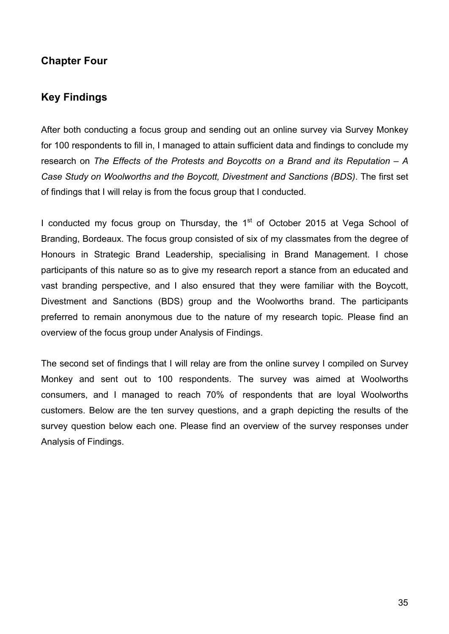## **Chapter Four**

## **Key Findings**

After both conducting a focus group and sending out an online survey via Survey Monkey for 100 respondents to fill in, I managed to attain sufficient data and findings to conclude my research on *The Effects of the Protests and Boycotts on a Brand and its Reputation – A Case Study on Woolworths and the Boycott, Divestment and Sanctions (BDS)*. The first set of findings that I will relay is from the focus group that I conducted.

I conducted my focus group on Thursday, the  $1<sup>st</sup>$  of October 2015 at Vega School of Branding, Bordeaux. The focus group consisted of six of my classmates from the degree of Honours in Strategic Brand Leadership, specialising in Brand Management. I chose participants of this nature so as to give my research report a stance from an educated and vast branding perspective, and I also ensured that they were familiar with the Boycott, Divestment and Sanctions (BDS) group and the Woolworths brand. The participants preferred to remain anonymous due to the nature of my research topic. Please find an overview of the focus group under Analysis of Findings.

The second set of findings that I will relay are from the online survey I compiled on Survey Monkey and sent out to 100 respondents. The survey was aimed at Woolworths consumers, and I managed to reach 70% of respondents that are loyal Woolworths customers. Below are the ten survey questions, and a graph depicting the results of the survey question below each one. Please find an overview of the survey responses under Analysis of Findings.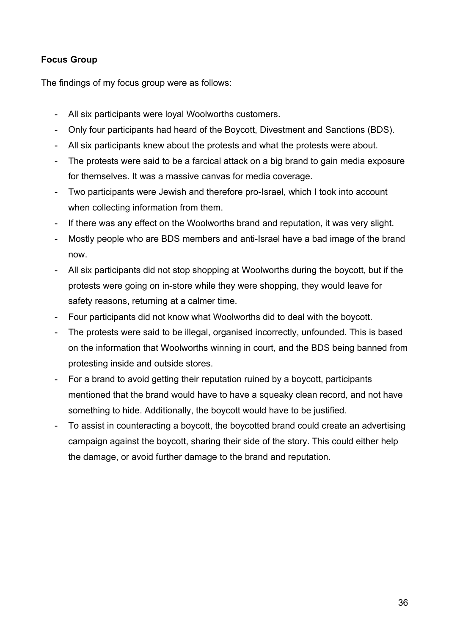### **Focus Group**

The findings of my focus group were as follows:

- All six participants were loyal Woolworths customers.
- Only four participants had heard of the Boycott, Divestment and Sanctions (BDS).
- All six participants knew about the protests and what the protests were about.
- The protests were said to be a farcical attack on a big brand to gain media exposure for themselves. It was a massive canvas for media coverage.
- Two participants were Jewish and therefore pro-Israel, which I took into account when collecting information from them.
- If there was any effect on the Woolworths brand and reputation, it was very slight.
- Mostly people who are BDS members and anti-Israel have a bad image of the brand now.
- All six participants did not stop shopping at Woolworths during the boycott, but if the protests were going on in-store while they were shopping, they would leave for safety reasons, returning at a calmer time.
- Four participants did not know what Woolworths did to deal with the boycott.
- The protests were said to be illegal, organised incorrectly, unfounded. This is based on the information that Woolworths winning in court, and the BDS being banned from protesting inside and outside stores.
- For a brand to avoid getting their reputation ruined by a boycott, participants mentioned that the brand would have to have a squeaky clean record, and not have something to hide. Additionally, the boycott would have to be justified.
- To assist in counteracting a boycott, the boycotted brand could create an advertising campaign against the boycott, sharing their side of the story. This could either help the damage, or avoid further damage to the brand and reputation.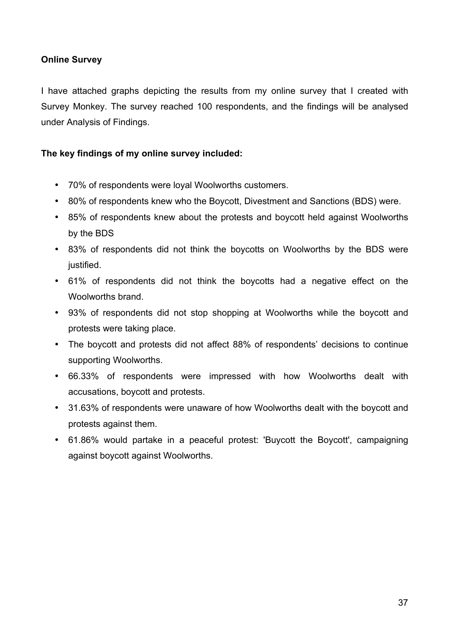#### **Online Survey**

I have attached graphs depicting the results from my online survey that I created with Survey Monkey. The survey reached 100 respondents, and the findings will be analysed under Analysis of Findings.

#### **The key findings of my online survey included:**

- 70% of respondents were loyal Woolworths customers.
- 80% of respondents knew who the Boycott, Divestment and Sanctions (BDS) were.
- 85% of respondents knew about the protests and boycott held against Woolworths by the BDS
- 83% of respondents did not think the boycotts on Woolworths by the BDS were justified.
- 61% of respondents did not think the boycotts had a negative effect on the Woolworths brand.
- 93% of respondents did not stop shopping at Woolworths while the boycott and protests were taking place.
- The boycott and protests did not affect 88% of respondents' decisions to continue supporting Woolworths.
- 66.33% of respondents were impressed with how Woolworths dealt with accusations, boycott and protests.
- 31.63% of respondents were unaware of how Woolworths dealt with the boycott and protests against them.
- 61.86% would partake in a peaceful protest: 'Buycott the Boycott', campaigning against boycott against Woolworths.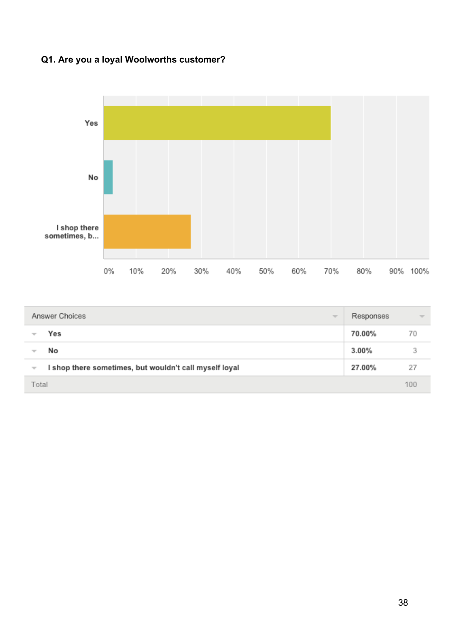## **Q1. Are you a loyal Woolworths customer?**



| Answer Choices<br>$\overline{\phantom{a}}$                                         | Responses | $\overline{\mathcal{M}}$ |
|------------------------------------------------------------------------------------|-----------|--------------------------|
| Yes                                                                                | 70.00%    | 70                       |
| No                                                                                 | $3.00\%$  | 3                        |
| I shop there sometimes, but wouldn't call myself loyal<br>$\overline{\phantom{m}}$ | 27.00%    | 27                       |
| Total                                                                              |           | 100                      |
|                                                                                    |           |                          |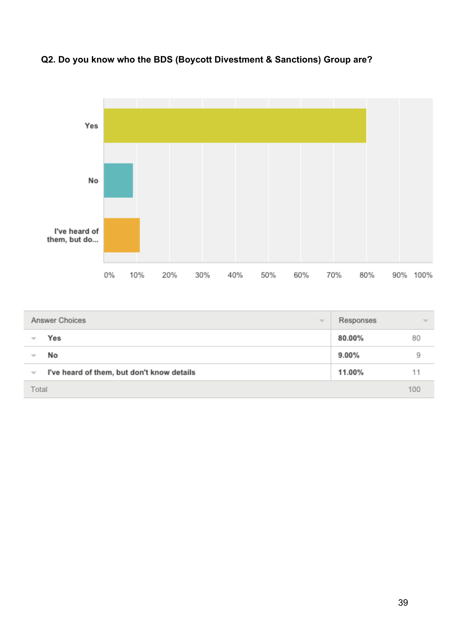

## **Q2. Do you know who the BDS (Boycott Divestment & Sanctions) Group are?**

| Answer Choices<br>$\overline{\phantom{a}}$                             | Responses | $\overline{\phantom{a}}$ |
|------------------------------------------------------------------------|-----------|--------------------------|
| Yes<br>$\overline{\phantom{a}}$                                        | 80.00%    | 80                       |
| No<br>₩                                                                | $9.00\%$  | 9                        |
| I've heard of them, but don't know details<br>$\overline{\phantom{a}}$ | 11.00%    |                          |
| Total                                                                  |           | 100                      |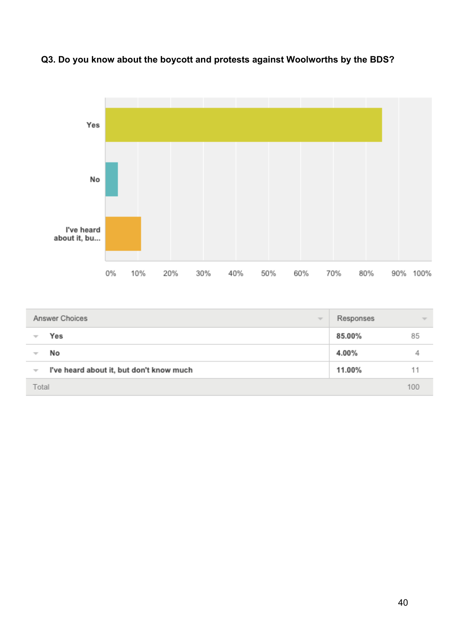

## **Q3. Do you know about the boycott and protests against Woolworths by the BDS?**

| Answer Choices<br>$\overline{\mathcal{M}}$                           | Responses | $\overline{\phantom{a}}$ |
|----------------------------------------------------------------------|-----------|--------------------------|
| Yes<br>₩                                                             | 85.00%    | 85                       |
| No<br>₩                                                              | 4.00%     | 4                        |
| I've heard about it, but don't know much<br>$\overline{\phantom{a}}$ | 11.00%    | 11                       |
| Total                                                                |           | 100                      |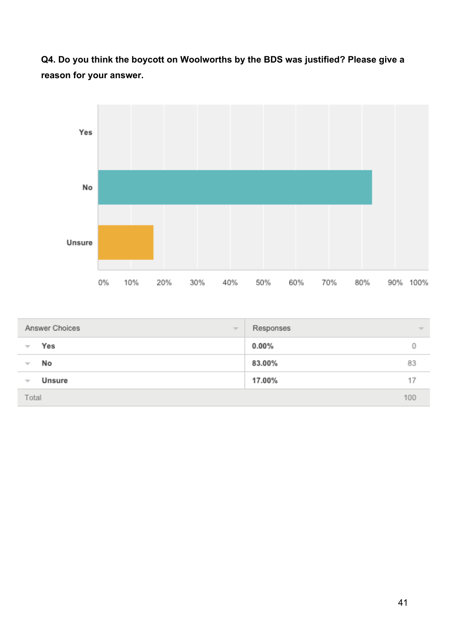**Q4. Do you think the boycott on Woolworths by the BDS was justified? Please give a reason for your answer.**



| Answer Choices           | Responses                |
|--------------------------|--------------------------|
| $\overline{\phantom{a}}$ | $\overline{\phantom{m}}$ |
| Yes                      | $0.00\%$                 |
| ₩                        | 0                        |
| No                       | 83.00%                   |
| $\overline{\phantom{a}}$ | 83                       |
| Unsure                   | 17.00%                   |
| $\overline{\phantom{a}}$ | 17                       |
| Total                    | 100                      |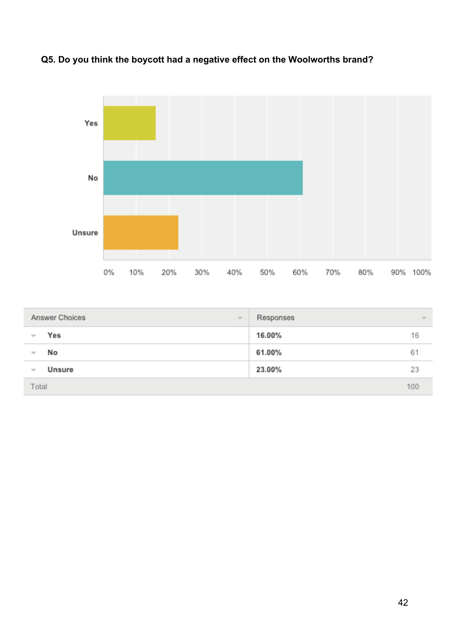



| Answer Choices<br>$\overline{\psi}$ | Responses    | $\overline{\mathcal{M}}$ |
|-------------------------------------|--------------|--------------------------|
| Yes<br>$\overline{\phantom{a}}$     | 16.00%<br>16 |                          |
| No<br>$\overline{\phantom{a}}$      | 61.00%<br>61 |                          |
| Unsure<br>$\overline{\phantom{a}}$  | 23.00%<br>23 |                          |
| Total                               | 100          |                          |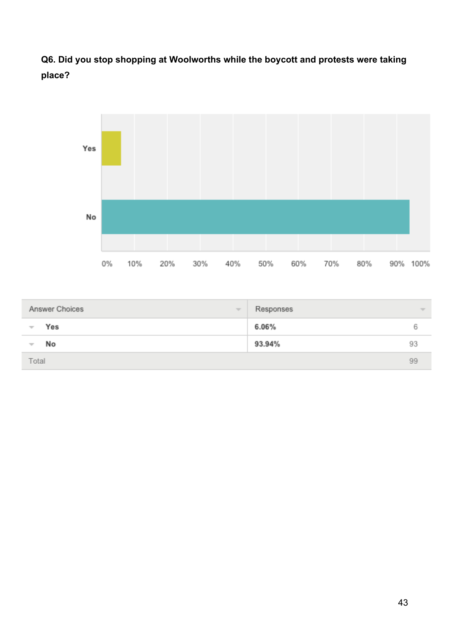**Q6. Did you stop shopping at Woolworths while the boycott and protests were taking place?**



| Answer Choices           | Responses                |
|--------------------------|--------------------------|
| $\overline{\phantom{a}}$ | $\overline{\phantom{m}}$ |
| Yes                      | 6.06%                    |
| ₩                        | ь                        |
| No                       | 93.94%                   |
| v                        | 93                       |
| Total                    | 99                       |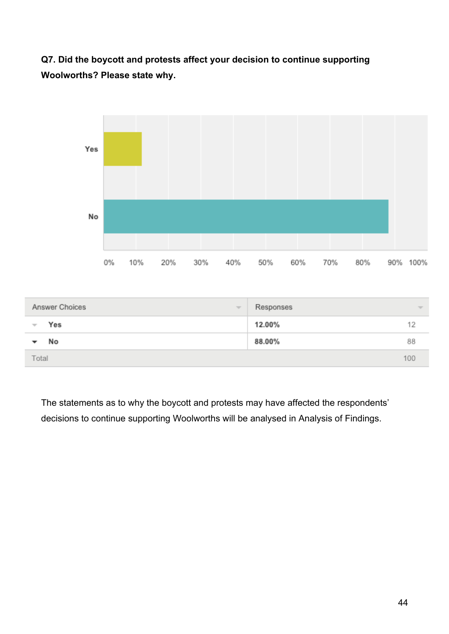## **Q7. Did the boycott and protests affect your decision to continue supporting Woolworths? Please state why.**



| Answer Choices           | Responses                |
|--------------------------|--------------------------|
| $\overline{\phantom{a}}$ | $\overline{\phantom{m}}$ |
| Yes                      | 12.00%                   |
| $\overline{\phantom{a}}$ | 12                       |
| No                       | 88.00%<br>88             |
| Total                    | 100                      |

The statements as to why the boycott and protests may have affected the respondents' decisions to continue supporting Woolworths will be analysed in Analysis of Findings.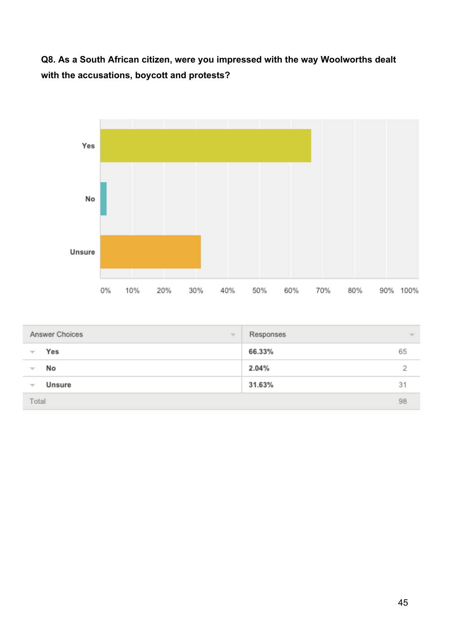**Q8. As a South African citizen, were you impressed with the way Woolworths dealt with the accusations, boycott and protests?**



| Answer Choices<br>$\overline{\phantom{m}}$ | Responses<br>$\overline{\phantom{m}}$ |  |
|--------------------------------------------|---------------------------------------|--|
| Yes<br>÷                                   | 66.33%<br>65                          |  |
| No<br>₩                                    | 2.04%                                 |  |
| Unsure<br>$\overline{\phantom{a}}$         | 31.63%<br>31                          |  |
| Total                                      | 98                                    |  |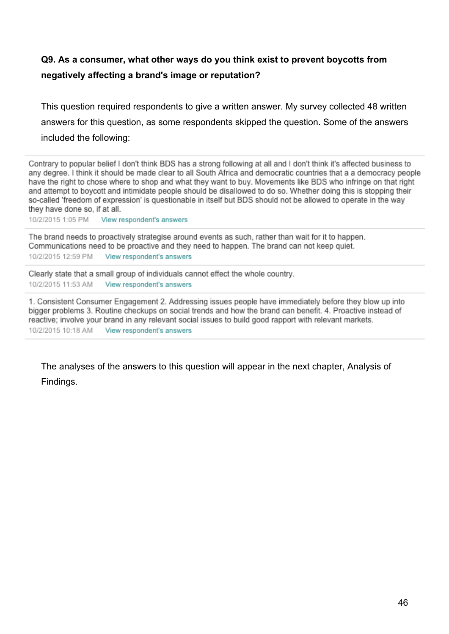## **Q9. As a consumer, what other ways do you think exist to prevent boycotts from negatively affecting a brand's image or reputation?**

This question required respondents to give a written answer. My survey collected 48 written answers for this question, as some respondents skipped the question. Some of the answers included the following:

Contrary to popular belief I don't think BDS has a strong following at all and I don't think it's affected business to any degree. I think it should be made clear to all South Africa and democratic countries that a a democracy people have the right to chose where to shop and what they want to buy. Movements like BDS who infringe on that right and attempt to boycott and intimidate people should be disallowed to do so. Whether doing this is stopping their so-called 'freedom of expression' is questionable in itself but BDS should not be allowed to operate in the way they have done so, if at all.

10/2/2015 1:05 PM View respondent's answers

The brand needs to proactively strategise around events as such, rather than wait for it to happen. Communications need to be proactive and they need to happen. The brand can not keep quiet. 10/2/2015 12:59 PM View respondent's answers

Clearly state that a small group of individuals cannot effect the whole country. 10/2/2015 11:53 AM View respondent's answers

1. Consistent Consumer Engagement 2. Addressing issues people have immediately before they blow up into bigger problems 3. Routine checkups on social trends and how the brand can benefit. 4. Proactive instead of reactive; involve your brand in any relevant social issues to build good rapport with relevant markets. 10/2/2015 10:18 AM View respondent's answers

The analyses of the answers to this question will appear in the next chapter, Analysis of Findings.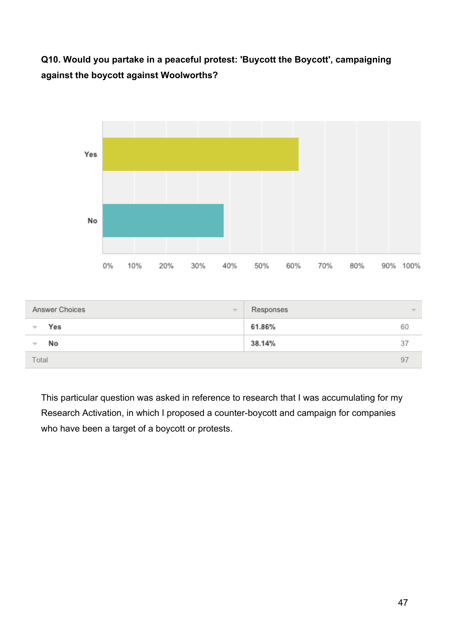## **Q10. Would you partake in a peaceful protest: 'Buycott the Boycott', campaigning against the boycott against Woolworths?**



| Answer Choices<br>$\overline{\phantom{a}}$ | Responses | $\overline{\phantom{a}}$ |
|--------------------------------------------|-----------|--------------------------|
| Yes<br>$\overline{\phantom{a}}$            | 61.86%    | 60                       |
| No<br>÷                                    | 38.14%    | 37                       |
| Total                                      |           | 97                       |

This particular question was asked in reference to research that I was accumulating for my Research Activation, in which I proposed a counter-boycott and campaign for companies who have been a target of a boycott or protests.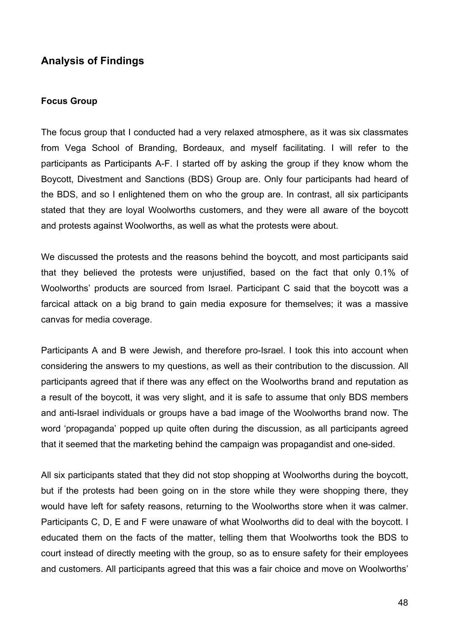## **Analysis of Findings**

#### **Focus Group**

The focus group that I conducted had a very relaxed atmosphere, as it was six classmates from Vega School of Branding, Bordeaux, and myself facilitating. I will refer to the participants as Participants A-F. I started off by asking the group if they know whom the Boycott, Divestment and Sanctions (BDS) Group are. Only four participants had heard of the BDS, and so I enlightened them on who the group are. In contrast, all six participants stated that they are loyal Woolworths customers, and they were all aware of the boycott and protests against Woolworths, as well as what the protests were about.

We discussed the protests and the reasons behind the boycott, and most participants said that they believed the protests were unjustified, based on the fact that only 0.1% of Woolworths' products are sourced from Israel. Participant C said that the boycott was a farcical attack on a big brand to gain media exposure for themselves; it was a massive canvas for media coverage.

Participants A and B were Jewish, and therefore pro-Israel. I took this into account when considering the answers to my questions, as well as their contribution to the discussion. All participants agreed that if there was any effect on the Woolworths brand and reputation as a result of the boycott, it was very slight, and it is safe to assume that only BDS members and anti-Israel individuals or groups have a bad image of the Woolworths brand now. The word 'propaganda' popped up quite often during the discussion, as all participants agreed that it seemed that the marketing behind the campaign was propagandist and one-sided.

All six participants stated that they did not stop shopping at Woolworths during the boycott, but if the protests had been going on in the store while they were shopping there, they would have left for safety reasons, returning to the Woolworths store when it was calmer. Participants C, D, E and F were unaware of what Woolworths did to deal with the boycott. I educated them on the facts of the matter, telling them that Woolworths took the BDS to court instead of directly meeting with the group, so as to ensure safety for their employees and customers. All participants agreed that this was a fair choice and move on Woolworths'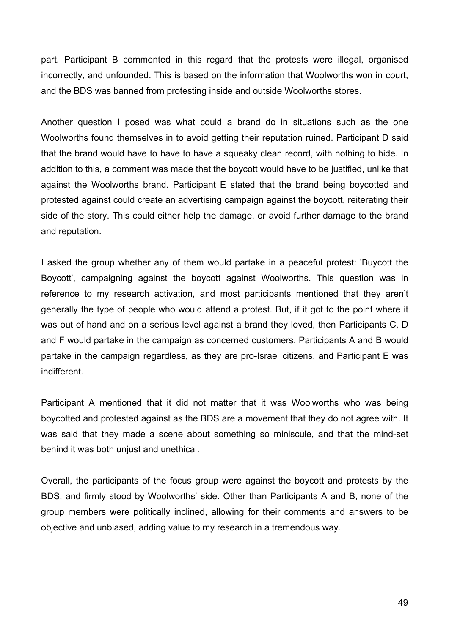part. Participant B commented in this regard that the protests were illegal, organised incorrectly, and unfounded. This is based on the information that Woolworths won in court, and the BDS was banned from protesting inside and outside Woolworths stores.

Another question I posed was what could a brand do in situations such as the one Woolworths found themselves in to avoid getting their reputation ruined. Participant D said that the brand would have to have to have a squeaky clean record, with nothing to hide. In addition to this, a comment was made that the boycott would have to be justified, unlike that against the Woolworths brand. Participant E stated that the brand being boycotted and protested against could create an advertising campaign against the boycott, reiterating their side of the story. This could either help the damage, or avoid further damage to the brand and reputation.

I asked the group whether any of them would partake in a peaceful protest: 'Buycott the Boycott', campaigning against the boycott against Woolworths. This question was in reference to my research activation, and most participants mentioned that they aren't generally the type of people who would attend a protest. But, if it got to the point where it was out of hand and on a serious level against a brand they loved, then Participants C, D and F would partake in the campaign as concerned customers. Participants A and B would partake in the campaign regardless, as they are pro-Israel citizens, and Participant E was indifferent.

Participant A mentioned that it did not matter that it was Woolworths who was being boycotted and protested against as the BDS are a movement that they do not agree with. It was said that they made a scene about something so miniscule, and that the mind-set behind it was both unjust and unethical.

Overall, the participants of the focus group were against the boycott and protests by the BDS, and firmly stood by Woolworths' side. Other than Participants A and B, none of the group members were politically inclined, allowing for their comments and answers to be objective and unbiased, adding value to my research in a tremendous way.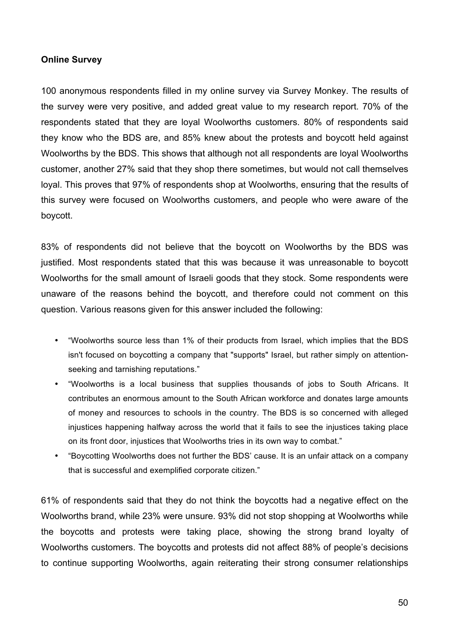#### **Online Survey**

100 anonymous respondents filled in my online survey via Survey Monkey. The results of the survey were very positive, and added great value to my research report. 70% of the respondents stated that they are loyal Woolworths customers. 80% of respondents said they know who the BDS are, and 85% knew about the protests and boycott held against Woolworths by the BDS. This shows that although not all respondents are loyal Woolworths customer, another 27% said that they shop there sometimes, but would not call themselves loyal. This proves that 97% of respondents shop at Woolworths, ensuring that the results of this survey were focused on Woolworths customers, and people who were aware of the boycott.

83% of respondents did not believe that the boycott on Woolworths by the BDS was justified. Most respondents stated that this was because it was unreasonable to boycott Woolworths for the small amount of Israeli goods that they stock. Some respondents were unaware of the reasons behind the boycott, and therefore could not comment on this question. Various reasons given for this answer included the following:

- "Woolworths source less than 1% of their products from Israel, which implies that the BDS isn't focused on boycotting a company that "supports" Israel, but rather simply on attentionseeking and tarnishing reputations."
- "Woolworths is a local business that supplies thousands of jobs to South Africans. It contributes an enormous amount to the South African workforce and donates large amounts of money and resources to schools in the country. The BDS is so concerned with alleged injustices happening halfway across the world that it fails to see the injustices taking place on its front door, injustices that Woolworths tries in its own way to combat."
- "Boycotting Woolworths does not further the BDS' cause. It is an unfair attack on a company that is successful and exemplified corporate citizen."

61% of respondents said that they do not think the boycotts had a negative effect on the Woolworths brand, while 23% were unsure. 93% did not stop shopping at Woolworths while the boycotts and protests were taking place, showing the strong brand loyalty of Woolworths customers. The boycotts and protests did not affect 88% of people's decisions to continue supporting Woolworths, again reiterating their strong consumer relationships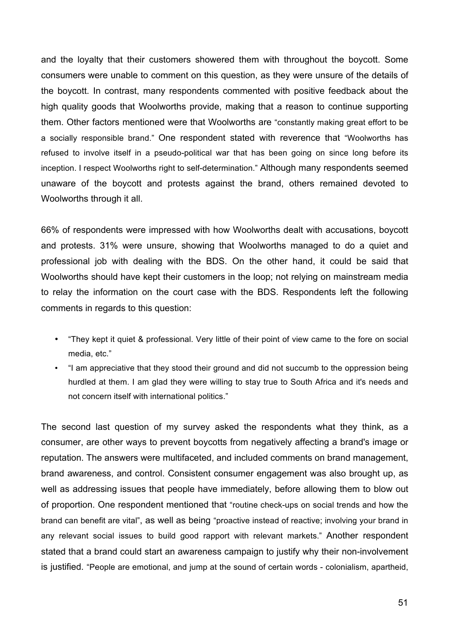and the loyalty that their customers showered them with throughout the boycott. Some consumers were unable to comment on this question, as they were unsure of the details of the boycott. In contrast, many respondents commented with positive feedback about the high quality goods that Woolworths provide, making that a reason to continue supporting them. Other factors mentioned were that Woolworths are "constantly making great effort to be a socially responsible brand." One respondent stated with reverence that "Woolworths has refused to involve itself in a pseudo-political war that has been going on since long before its inception. I respect Woolworths right to self-determination." Although many respondents seemed unaware of the boycott and protests against the brand, others remained devoted to Woolworths through it all.

66% of respondents were impressed with how Woolworths dealt with accusations, boycott and protests. 31% were unsure, showing that Woolworths managed to do a quiet and professional job with dealing with the BDS. On the other hand, it could be said that Woolworths should have kept their customers in the loop; not relying on mainstream media to relay the information on the court case with the BDS. Respondents left the following comments in regards to this question:

- "They kept it quiet & professional. Very little of their point of view came to the fore on social media, etc."
- "I am appreciative that they stood their ground and did not succumb to the oppression being hurdled at them. I am glad they were willing to stay true to South Africa and it's needs and not concern itself with international politics."

The second last question of my survey asked the respondents what they think, as a consumer, are other ways to prevent boycotts from negatively affecting a brand's image or reputation. The answers were multifaceted, and included comments on brand management, brand awareness, and control. Consistent consumer engagement was also brought up, as well as addressing issues that people have immediately, before allowing them to blow out of proportion. One respondent mentioned that "routine check-ups on social trends and how the brand can benefit are vital", as well as being "proactive instead of reactive; involving your brand in any relevant social issues to build good rapport with relevant markets." Another respondent stated that a brand could start an awareness campaign to justify why their non-involvement is justified. "People are emotional, and jump at the sound of certain words - colonialism, apartheid,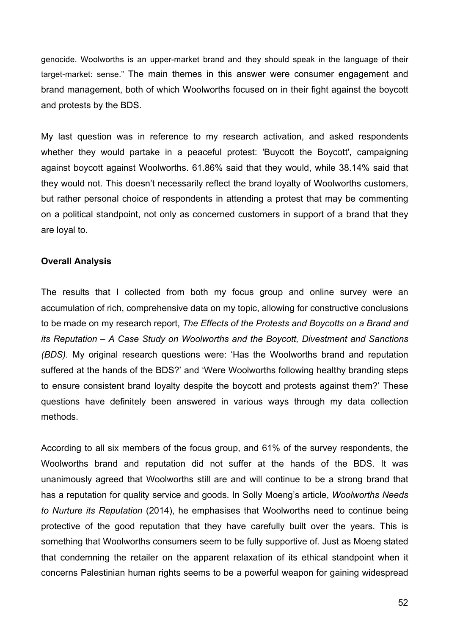genocide. Woolworths is an upper-market brand and they should speak in the language of their target-market: sense." The main themes in this answer were consumer engagement and brand management, both of which Woolworths focused on in their fight against the boycott and protests by the BDS.

My last question was in reference to my research activation, and asked respondents whether they would partake in a peaceful protest: 'Buycott the Boycott', campaigning against boycott against Woolworths. 61.86% said that they would, while 38.14% said that they would not. This doesn't necessarily reflect the brand loyalty of Woolworths customers, but rather personal choice of respondents in attending a protest that may be commenting on a political standpoint, not only as concerned customers in support of a brand that they are loyal to.

#### **Overall Analysis**

The results that I collected from both my focus group and online survey were an accumulation of rich, comprehensive data on my topic, allowing for constructive conclusions to be made on my research report, *The Effects of the Protests and Boycotts on a Brand and its Reputation – A Case Study on Woolworths and the Boycott, Divestment and Sanctions (BDS).* My original research questions were: 'Has the Woolworths brand and reputation suffered at the hands of the BDS?' and 'Were Woolworths following healthy branding steps to ensure consistent brand loyalty despite the boycott and protests against them?' These questions have definitely been answered in various ways through my data collection methods.

According to all six members of the focus group, and 61% of the survey respondents, the Woolworths brand and reputation did not suffer at the hands of the BDS. It was unanimously agreed that Woolworths still are and will continue to be a strong brand that has a reputation for quality service and goods. In Solly Moeng's article, *Woolworths Needs to Nurture its Reputation* (2014), he emphasises that Woolworths need to continue being protective of the good reputation that they have carefully built over the years. This is something that Woolworths consumers seem to be fully supportive of. Just as Moeng stated that condemning the retailer on the apparent relaxation of its ethical standpoint when it concerns Palestinian human rights seems to be a powerful weapon for gaining widespread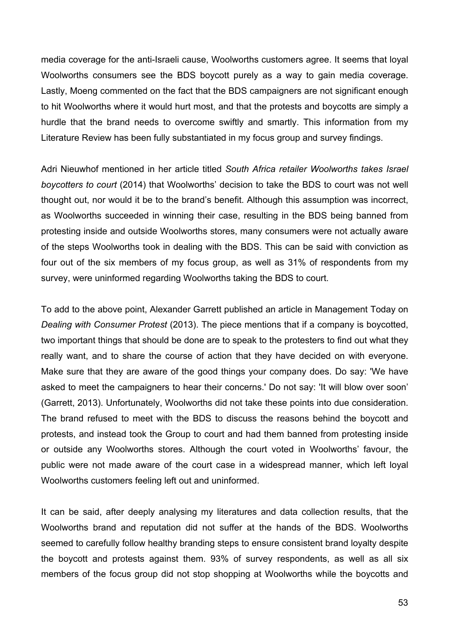media coverage for the anti-Israeli cause, Woolworths customers agree. It seems that loyal Woolworths consumers see the BDS boycott purely as a way to gain media coverage. Lastly, Moeng commented on the fact that the BDS campaigners are not significant enough to hit Woolworths where it would hurt most, and that the protests and boycotts are simply a hurdle that the brand needs to overcome swiftly and smartly. This information from my Literature Review has been fully substantiated in my focus group and survey findings.

Adri Nieuwhof mentioned in her article titled *South Africa retailer Woolworths takes Israel boycotters to court* (2014) that Woolworths' decision to take the BDS to court was not well thought out, nor would it be to the brand's benefit. Although this assumption was incorrect, as Woolworths succeeded in winning their case, resulting in the BDS being banned from protesting inside and outside Woolworths stores, many consumers were not actually aware of the steps Woolworths took in dealing with the BDS. This can be said with conviction as four out of the six members of my focus group, as well as 31% of respondents from my survey, were uninformed regarding Woolworths taking the BDS to court.

To add to the above point, Alexander Garrett published an article in Management Today on *Dealing with Consumer Protest* (2013). The piece mentions that if a company is boycotted, two important things that should be done are to speak to the protesters to find out what they really want, and to share the course of action that they have decided on with everyone. Make sure that they are aware of the good things your company does. Do say: 'We have asked to meet the campaigners to hear their concerns.' Do not say: 'It will blow over soon' (Garrett, 2013). Unfortunately, Woolworths did not take these points into due consideration. The brand refused to meet with the BDS to discuss the reasons behind the boycott and protests, and instead took the Group to court and had them banned from protesting inside or outside any Woolworths stores. Although the court voted in Woolworths' favour, the public were not made aware of the court case in a widespread manner, which left loyal Woolworths customers feeling left out and uninformed.

It can be said, after deeply analysing my literatures and data collection results, that the Woolworths brand and reputation did not suffer at the hands of the BDS. Woolworths seemed to carefully follow healthy branding steps to ensure consistent brand loyalty despite the boycott and protests against them. 93% of survey respondents, as well as all six members of the focus group did not stop shopping at Woolworths while the boycotts and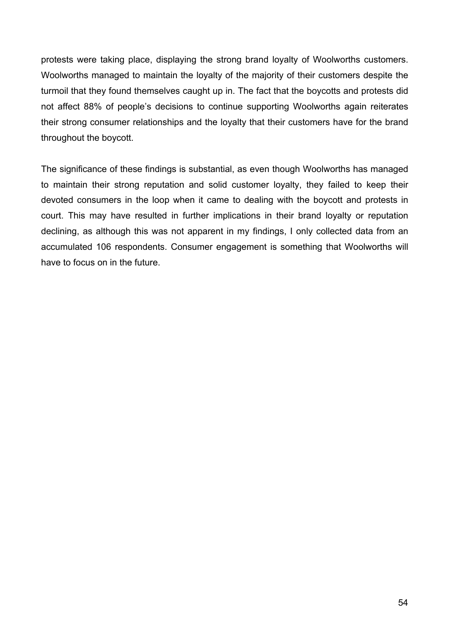protests were taking place, displaying the strong brand loyalty of Woolworths customers. Woolworths managed to maintain the loyalty of the majority of their customers despite the turmoil that they found themselves caught up in. The fact that the boycotts and protests did not affect 88% of people's decisions to continue supporting Woolworths again reiterates their strong consumer relationships and the loyalty that their customers have for the brand throughout the boycott.

The significance of these findings is substantial, as even though Woolworths has managed to maintain their strong reputation and solid customer loyalty, they failed to keep their devoted consumers in the loop when it came to dealing with the boycott and protests in court. This may have resulted in further implications in their brand loyalty or reputation declining, as although this was not apparent in my findings, I only collected data from an accumulated 106 respondents. Consumer engagement is something that Woolworths will have to focus on in the future.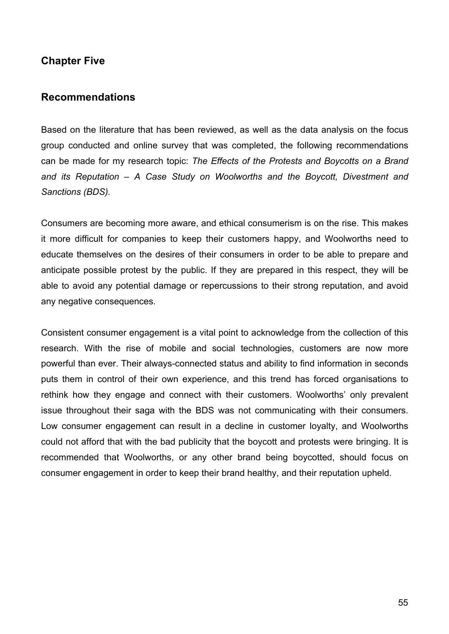## **Chapter Five**

#### **Recommendations**

Based on the literature that has been reviewed, as well as the data analysis on the focus group conducted and online survey that was completed, the following recommendations can be made for my research topic: *The Effects of the Protests and Boycotts on a Brand and its Reputation – A Case Study on Woolworths and the Boycott, Divestment and Sanctions (BDS).*

Consumers are becoming more aware, and ethical consumerism is on the rise. This makes it more difficult for companies to keep their customers happy, and Woolworths need to educate themselves on the desires of their consumers in order to be able to prepare and anticipate possible protest by the public. If they are prepared in this respect, they will be able to avoid any potential damage or repercussions to their strong reputation, and avoid any negative consequences.

Consistent consumer engagement is a vital point to acknowledge from the collection of this research. With the rise of mobile and social technologies, customers are now more powerful than ever. Their always-connected status and ability to find information in seconds puts them in control of their own experience, and this trend has forced organisations to rethink how they engage and connect with their customers. Woolworths' only prevalent issue throughout their saga with the BDS was not communicating with their consumers. Low consumer engagement can result in a decline in customer loyalty, and Woolworths could not afford that with the bad publicity that the boycott and protests were bringing. It is recommended that Woolworths, or any other brand being boycotted, should focus on consumer engagement in order to keep their brand healthy, and their reputation upheld.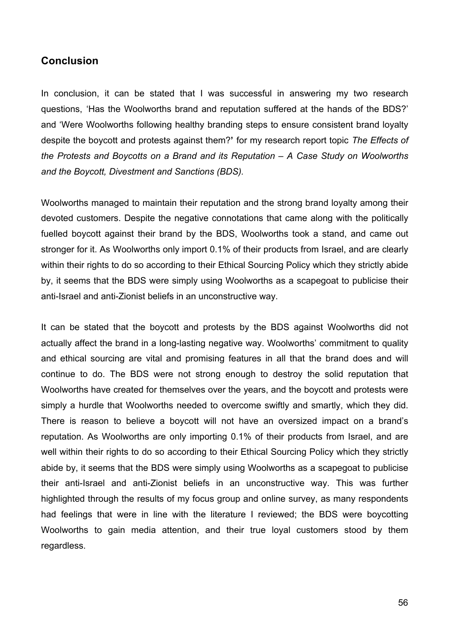### **Conclusion**

In conclusion, it can be stated that I was successful in answering my two research questions, 'Has the Woolworths brand and reputation suffered at the hands of the BDS?' and 'Were Woolworths following healthy branding steps to ensure consistent brand loyalty despite the boycott and protests against them?**'** for my research report topic *The Effects of the Protests and Boycotts on a Brand and its Reputation – A Case Study on Woolworths and the Boycott, Divestment and Sanctions (BDS).*

Woolworths managed to maintain their reputation and the strong brand loyalty among their devoted customers. Despite the negative connotations that came along with the politically fuelled boycott against their brand by the BDS, Woolworths took a stand, and came out stronger for it. As Woolworths only import 0.1% of their products from Israel, and are clearly within their rights to do so according to their Ethical Sourcing Policy which they strictly abide by, it seems that the BDS were simply using Woolworths as a scapegoat to publicise their anti-Israel and anti-Zionist beliefs in an unconstructive way.

It can be stated that the boycott and protests by the BDS against Woolworths did not actually affect the brand in a long-lasting negative way. Woolworths' commitment to quality and ethical sourcing are vital and promising features in all that the brand does and will continue to do. The BDS were not strong enough to destroy the solid reputation that Woolworths have created for themselves over the years, and the boycott and protests were simply a hurdle that Woolworths needed to overcome swiftly and smartly, which they did. There is reason to believe a boycott will not have an oversized impact on a brand's reputation. As Woolworths are only importing 0.1% of their products from Israel, and are well within their rights to do so according to their Ethical Sourcing Policy which they strictly abide by, it seems that the BDS were simply using Woolworths as a scapegoat to publicise their anti-Israel and anti-Zionist beliefs in an unconstructive way. This was further highlighted through the results of my focus group and online survey, as many respondents had feelings that were in line with the literature I reviewed; the BDS were boycotting Woolworths to gain media attention, and their true loyal customers stood by them regardless.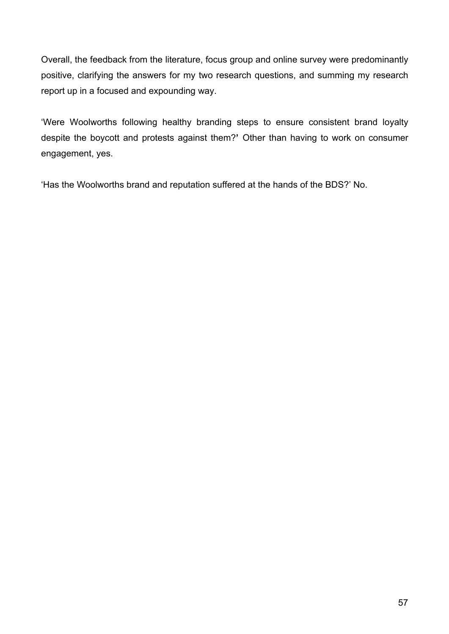Overall, the feedback from the literature, focus group and online survey were predominantly positive, clarifying the answers for my two research questions, and summing my research report up in a focused and expounding way.

'Were Woolworths following healthy branding steps to ensure consistent brand loyalty despite the boycott and protests against them?**'** Other than having to work on consumer engagement, yes.

'Has the Woolworths brand and reputation suffered at the hands of the BDS?' No.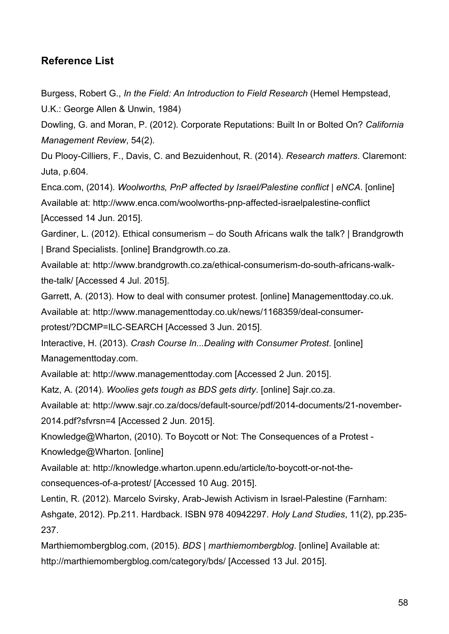## **Reference List**

Burgess, Robert G., *In the Field: An Introduction to Field Research* (Hemel Hempstead,

U.K.: George Allen & Unwin, 1984)

Dowling, G. and Moran, P. (2012). Corporate Reputations: Built In or Bolted On? *California Management Review*, 54(2).

Du Plooy-Cilliers, F., Davis, C. and Bezuidenhout, R. (2014). *Research matters*. Claremont: Juta, p.604.

Enca.com, (2014). *Woolworths, PnP affected by Israel/Palestine conflict | eNCA*. [online] Available at: http://www.enca.com/woolworths-pnp-affected-israelpalestine-conflict [Accessed 14 Jun. 2015].

Gardiner, L. (2012). Ethical consumerism – do South Africans walk the talk? | Brandgrowth | Brand Specialists. [online] Brandgrowth.co.za.

Available at: http://www.brandgrowth.co.za/ethical-consumerism-do-south-africans-walkthe-talk/ [Accessed 4 Jul. 2015].

Garrett, A. (2013). How to deal with consumer protest. [online] Managementtoday.co.uk.

Available at: http://www.managementtoday.co.uk/news/1168359/deal-consumer-

protest/?DCMP=ILC-SEARCH [Accessed 3 Jun. 2015].

Interactive, H. (2013). *Crash Course In...Dealing with Consumer Protest*. [online] Managementtoday.com.

Available at: http://www.managementtoday.com [Accessed 2 Jun. 2015].

Katz, A. (2014). *Woolies gets tough as BDS gets dirty*. [online] Sajr.co.za.

Available at: http://www.sajr.co.za/docs/default-source/pdf/2014-documents/21-november-2014.pdf?sfvrsn=4 [Accessed 2 Jun. 2015].

Knowledge@Wharton, (2010). To Boycott or Not: The Consequences of a Protest - Knowledge@Wharton. [online]

Available at: http://knowledge.wharton.upenn.edu/article/to-boycott-or-not-the-

consequences-of-a-protest/ [Accessed 10 Aug. 2015].

Lentin, R. (2012). Marcelo Svirsky, Arab-Jewish Activism in Israel-Palestine (Farnham:

Ashgate, 2012). Pp.211. Hardback. ISBN 978 40942297. *Holy Land Studies*, 11(2), pp.235- 237.

Marthiemombergblog.com, (2015). *BDS | marthiemombergblog*. [online] Available at: http://marthiemombergblog.com/category/bds/ [Accessed 13 Jul. 2015].